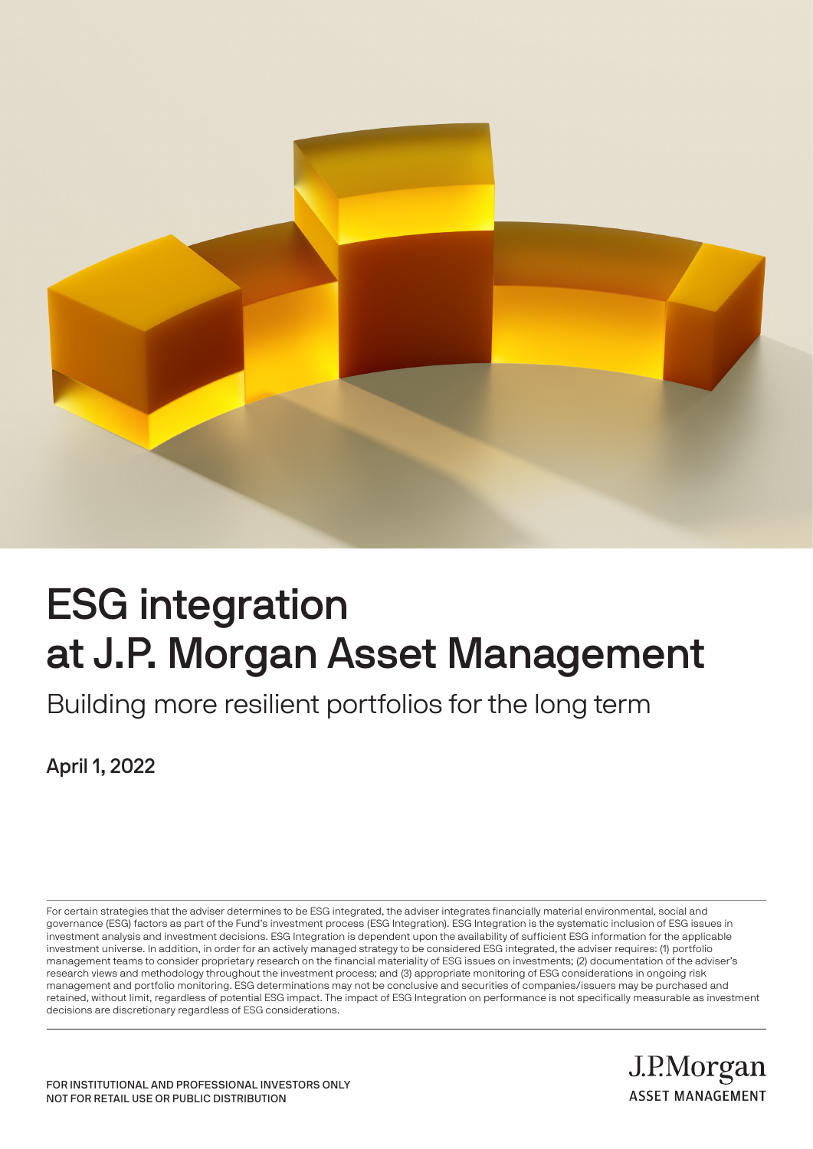

# ESG integration at J.P. Morgan Asset Management

Building more resilient portfolios for the long term

April 1, 2022

For certain strategies that the adviser determines to be ESG integrated, the adviser integrates financially material environmental, social and governance (ESG) factors as part of the Fund's investment process (ESG Integration). ESG Integration is the systematic inclusion of ESG issues in investment analysis and investment decisions. ESG Integration is dependent upon the availability of sufficient ESG information for the applicable investment universe. In addition, in order for an actively managed strategy to be considered ESG integrated, the adviser requires: (1) portfolio management teams to consider proprietary research on the financial materiality of ESG issues on investments; (2) documentation of the adviser's research views and methodology throughout the investment process; and (3) appropriate monitoring of ESG considerations in ongoing risk management and portfolio monitoring. ESG determinations may not be conclusive and securities of companies/issuers may be purchased and retained, without limit, regardless of potential ESG impact. The impact of ESG Integration on performance is not specifically measurable as investment decisions are discretionary regardless of ESG considerations.

> J.P.Morgan **ASSET MANAGEMENT**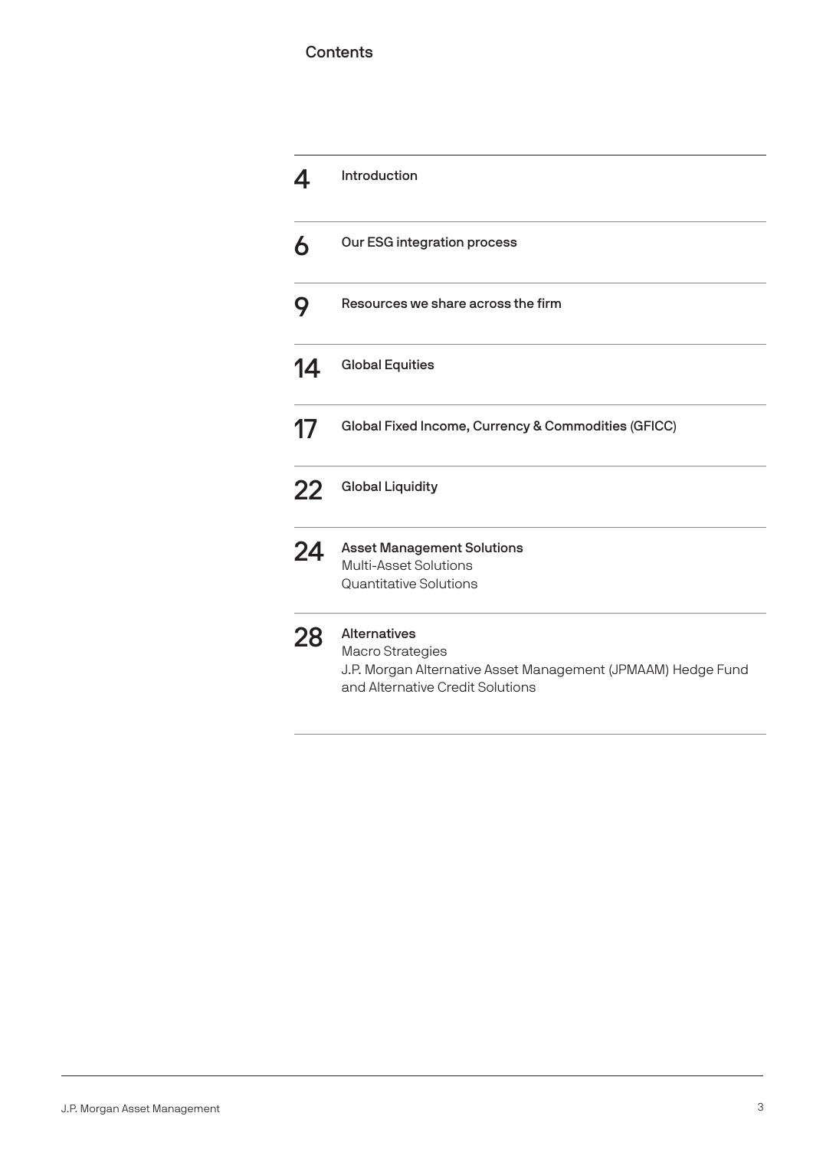#### **Contents**

|    | Introduction                                                                                                                                       |  |  |
|----|----------------------------------------------------------------------------------------------------------------------------------------------------|--|--|
| 6  | Our ESG integration process                                                                                                                        |  |  |
| 9  | Resources we share across the firm                                                                                                                 |  |  |
| 14 | <b>Global Equities</b>                                                                                                                             |  |  |
| 17 | Global Fixed Income, Currency & Commodities (GFICC)                                                                                                |  |  |
| 22 | <b>Global Liquidity</b>                                                                                                                            |  |  |
| 24 | <b>Asset Management Solutions</b><br><b>Multi-Asset Solutions</b><br>Quantitative Solutions                                                        |  |  |
| 28 | <b>Alternatives</b><br><b>Macro Strategies</b><br>J.P. Morgan Alternative Asset Management (JPMAAM) Hedge Fund<br>and Alternative Credit Solutions |  |  |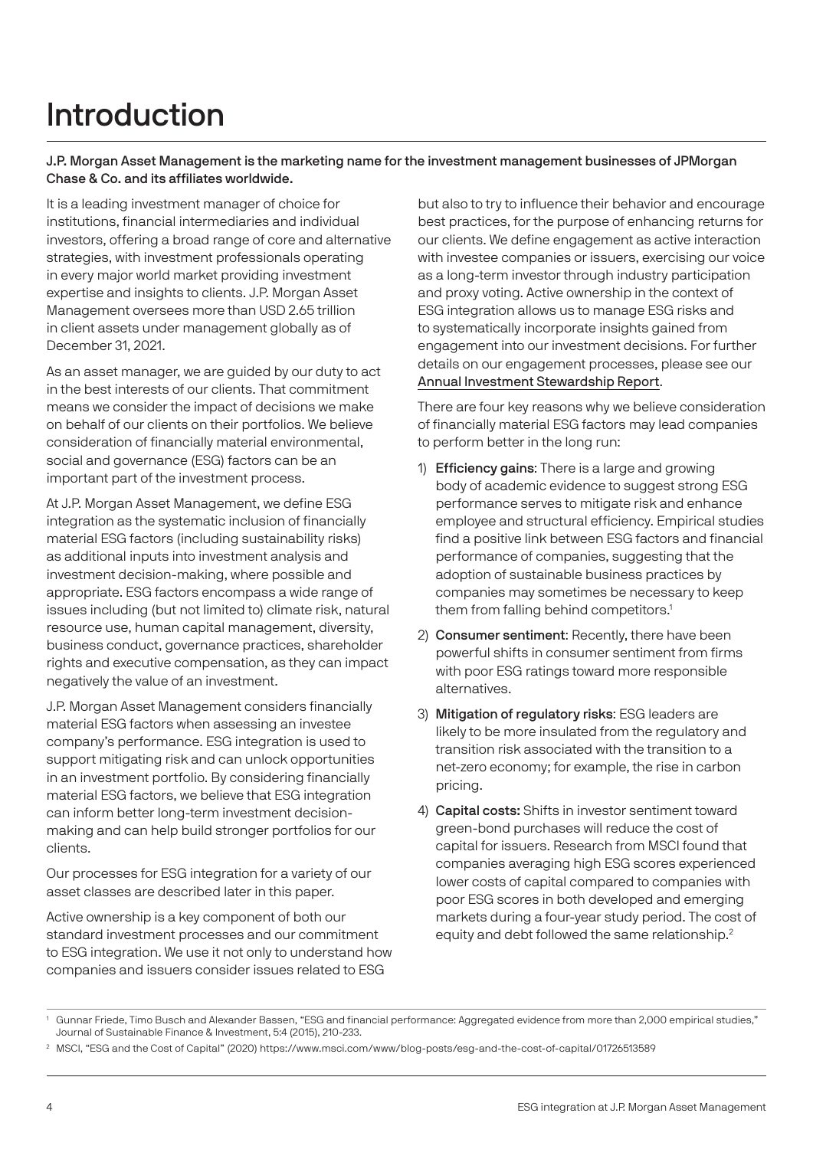# Introduction

#### J.P. Morgan Asset Management is the marketing name for the investment management businesses of JPMorgan Chase & Co. and its affiliates worldwide.

It is a leading investment manager of choice for institutions, financial intermediaries and individual investors, offering a broad range of core and alternative strategies, with investment professionals operating in every major world market providing investment expertise and insights to clients. J.P. Morgan Asset Management oversees more than USD 2.65 trillion in client assets under management globally as of December 31, 2021.

As an asset manager, we are guided by our duty to act in the best interests of our clients. That commitment means we consider the impact of decisions we make on behalf of our clients on their portfolios. We believe consideration of financially material environmental, social and governance (ESG) factors can be an important part of the investment process.

At J.P. Morgan Asset Management, we define ESG integration as the systematic inclusion of financially material ESG factors (including sustainability risks) as additional inputs into investment analysis and investment decision-making, where possible and appropriate. ESG factors encompass a wide range of issues including (but not limited to) climate risk, natural resource use, human capital management, diversity, business conduct, governance practices, shareholder rights and executive compensation, as they can impact negatively the value of an investment.

J.P. Morgan Asset Management considers financially material ESG factors when assessing an investee company's performance. ESG integration is used to support mitigating risk and can unlock opportunities in an investment portfolio. By considering financially material ESG factors, we believe that ESG integration can inform better long-term investment decisionmaking and can help build stronger portfolios for our clients.

Our processes for ESG integration for a variety of our asset classes are described later in this paper.

Active ownership is a key component of both our standard investment processes and our commitment to ESG integration. We use it not only to understand how companies and issuers consider issues related to ESG

but also to try to influence their behavior and encourage best practices, for the purpose of enhancing returns for our clients. We define engagement as active interaction with investee companies or issuers, exercising our voice as a long-term investor through industry participation and proxy voting. Active ownership in the context of ESG integration allows us to manage ESG risks and to systematically incorporate insights gained from engagement into our investment decisions. For further details on our engagement processes, please see our [Annual Investment Stewardship Report](https://am.jpmorgan.com/content/dam/jpm-am-aem/global/en/sustainable-investing/investment-stewardship-report.pdf).

There are four key reasons why we believe consideration of financially material ESG factors may lead companies to perform better in the long run:

- 1) Efficiency gains: There is a large and growing body of academic evidence to suggest strong ESG performance serves to mitigate risk and enhance employee and structural efficiency. Empirical studies find a positive link between ESG factors and financial performance of companies, suggesting that the adoption of sustainable business practices by companies may sometimes be necessary to keep them from falling behind competitors.<sup>1</sup>
- 2) Consumer sentiment: Recently, there have been powerful shifts in consumer sentiment from firms with poor ESG ratings toward more responsible alternatives.
- 3) Mitigation of regulatory risks: ESG leaders are likely to be more insulated from the regulatory and transition risk associated with the transition to a net-zero economy; for example, the rise in carbon pricing.
- 4) Capital costs: Shifts in investor sentiment toward green-bond purchases will reduce the cost of capital for issuers. Research from MSCI found that companies averaging high ESG scores experienced lower costs of capital compared to companies with poor ESG scores in both developed and emerging markets during a four-year study period. The cost of equity and debt followed the same relationship.<sup>2</sup>

<sup>1</sup> Gunnar Friede, Timo Busch and Alexander Bassen, "ESG and financial performance: Aggregated evidence from more than 2,000 empirical studies," Journal of Sustainable Finance & Investment, 5:4 (2015), 210-233.

<sup>2</sup> MSCI, "ESG and the Cost of Capital" (2020) https://www.msci.com/www/blog-posts/esg-and-the-cost-of-capital/01726513589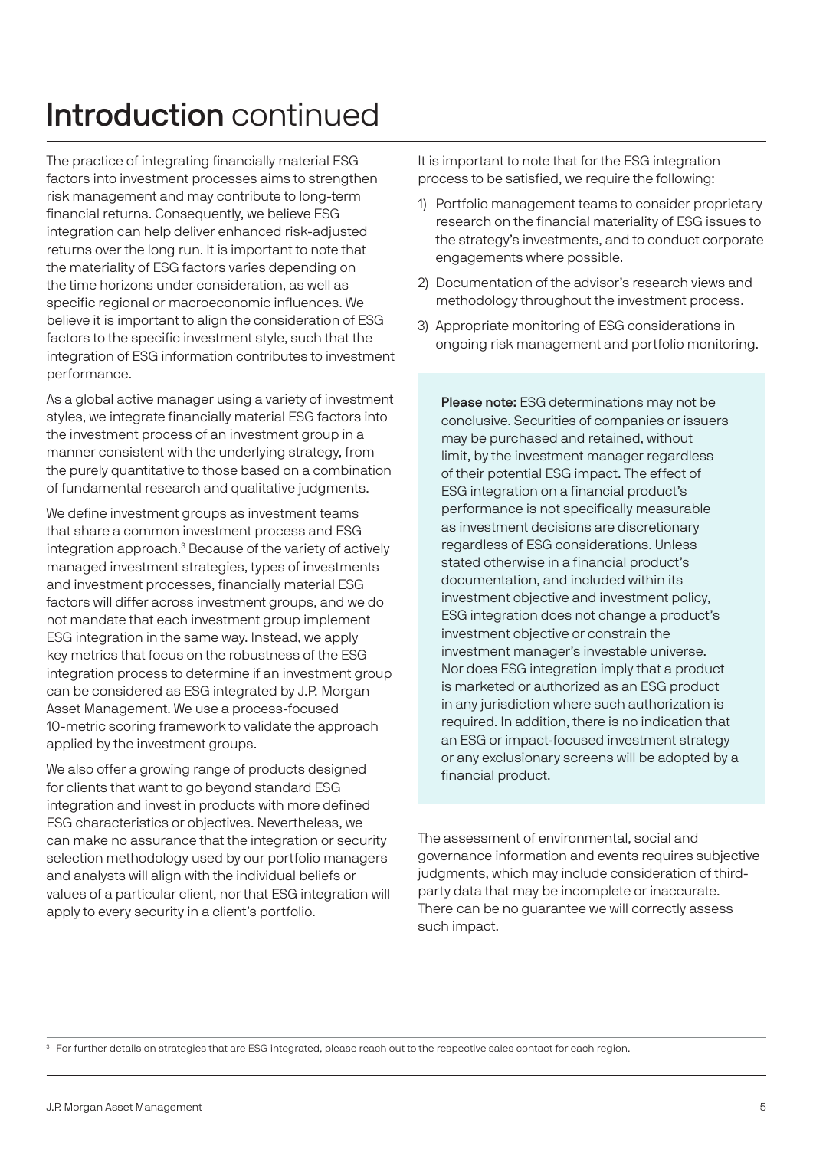# Introduction continued

The practice of integrating financially material ESG factors into investment processes aims to strengthen risk management and may contribute to long-term financial returns. Consequently, we believe ESG integration can help deliver enhanced risk-adjusted returns over the long run. It is important to note that the materiality of ESG factors varies depending on the time horizons under consideration, as well as specific regional or macroeconomic influences. We believe it is important to align the consideration of ESG factors to the specific investment style, such that the integration of ESG information contributes to investment performance.

As a global active manager using a variety of investment styles, we integrate financially material ESG factors into the investment process of an investment group in a manner consistent with the underlying strategy, from the purely quantitative to those based on a combination of fundamental research and qualitative judgments.

We define investment groups as investment teams that share a common investment process and ESG integration approach.<sup>3</sup> Because of the variety of actively managed investment strategies, types of investments and investment processes, financially material ESG factors will differ across investment groups, and we do not mandate that each investment group implement ESG integration in the same way. Instead, we apply key metrics that focus on the robustness of the ESG integration process to determine if an investment group can be considered as ESG integrated by J.P. Morgan Asset Management. We use a process-focused 10-metric scoring framework to validate the approach applied by the investment groups.

We also offer a growing range of products designed for clients that want to go beyond standard ESG integration and invest in products with more defined ESG characteristics or objectives. Nevertheless, we can make no assurance that the integration or security selection methodology used by our portfolio managers and analysts will align with the individual beliefs or values of a particular client, nor that ESG integration will apply to every security in a client's portfolio.

It is important to note that for the ESG integration process to be satisfied, we require the following:

- 1) Portfolio management teams to consider proprietary research on the financial materiality of ESG issues to the strategy's investments, and to conduct corporate engagements where possible.
- 2) Documentation of the advisor's research views and methodology throughout the investment process.
- 3) Appropriate monitoring of ESG considerations in ongoing risk management and portfolio monitoring.

Please note: ESG determinations may not be conclusive. Securities of companies or issuers may be purchased and retained, without limit, by the investment manager regardless of their potential ESG impact. The effect of ESG integration on a financial product's performance is not specifically measurable as investment decisions are discretionary regardless of ESG considerations. Unless stated otherwise in a financial product's documentation, and included within its investment objective and investment policy, ESG integration does not change a product's investment objective or constrain the investment manager's investable universe. Nor does ESG integration imply that a product is marketed or authorized as an ESG product in any jurisdiction where such authorization is required. In addition, there is no indication that an ESG or impact-focused investment strategy or any exclusionary screens will be adopted by a financial product.

The assessment of environmental, social and governance information and events requires subjective judgments, which may include consideration of thirdparty data that may be incomplete or inaccurate. There can be no guarantee we will correctly assess such impact.

<sup>3</sup> For further details on strategies that are ESG integrated, please reach out to the respective sales contact for each region.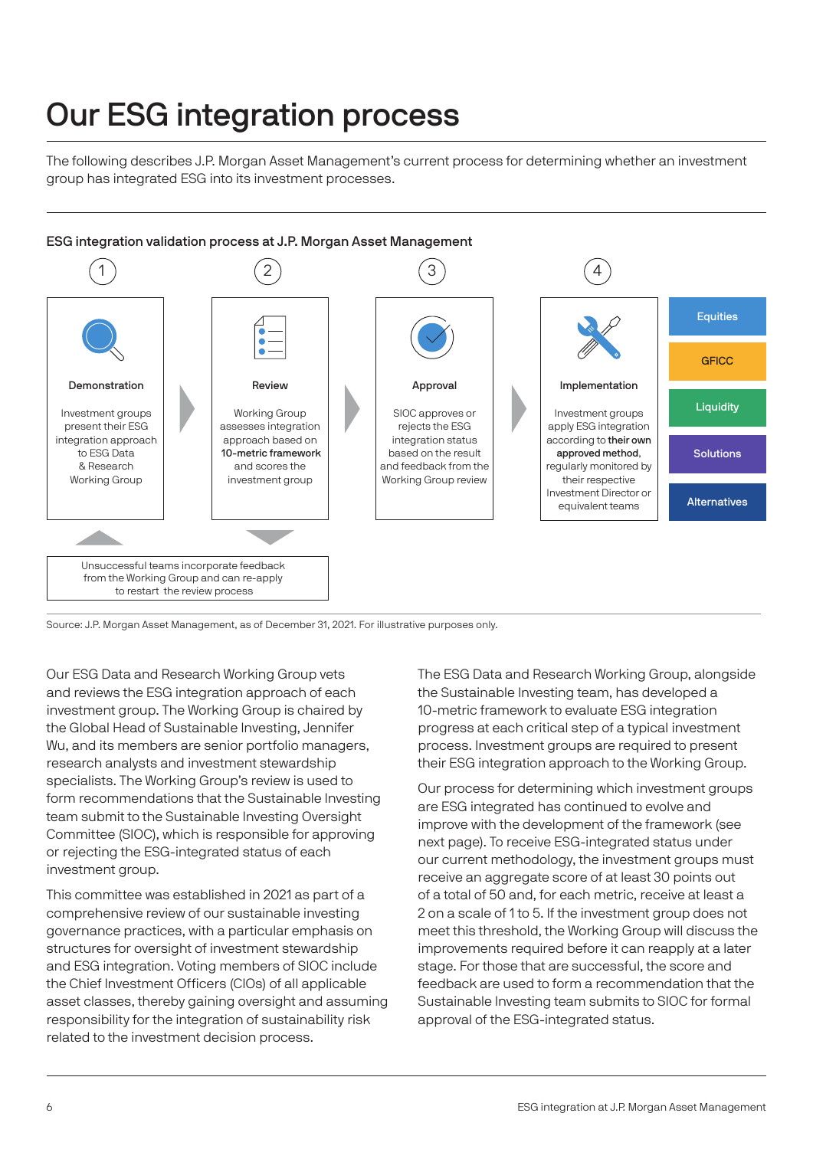# Our ESG integration process

The following describes J.P. Morgan Asset Management's current process for determining whether an investment group has integrated ESG into its investment processes.



Source: J.P. Morgan Asset Management, as of December 31, 2021. For illustrative purposes only.

Our ESG Data and Research Working Group vets and reviews the ESG integration approach of each investment group. The Working Group is chaired by the Global Head of Sustainable Investing, Jennifer Wu, and its members are senior portfolio managers, research analysts and investment stewardship specialists. The Working Group's review is used to form recommendations that the Sustainable Investing team submit to the Sustainable Investing Oversight Committee (SIOC), which is responsible for approving or rejecting the ESG-integrated status of each investment group.

This committee was established in 2021 as part of a comprehensive review of our sustainable investing governance practices, with a particular emphasis on structures for oversight of investment stewardship and ESG integration. Voting members of SIOC include the Chief Investment Officers (CIOs) of all applicable asset classes, thereby gaining oversight and assuming responsibility for the integration of sustainability risk related to the investment decision process.

The ESG Data and Research Working Group, alongside the Sustainable Investing team, has developed a 10-metric framework to evaluate ESG integration progress at each critical step of a typical investment process. Investment groups are required to present their ESG integration approach to the Working Group.

Our process for determining which investment groups are ESG integrated has continued to evolve and improve with the development of the framework (see next page). To receive ESG-integrated status under our current methodology, the investment groups must receive an aggregate score of at least 30 points out of a total of 50 and, for each metric, receive at least a 2 on a scale of 1 to 5. If the investment group does not meet this threshold, the Working Group will discuss the improvements required before it can reapply at a later stage. For those that are successful, the score and feedback are used to form a recommendation that the Sustainable Investing team submits to SIOC for formal approval of the ESG-integrated status.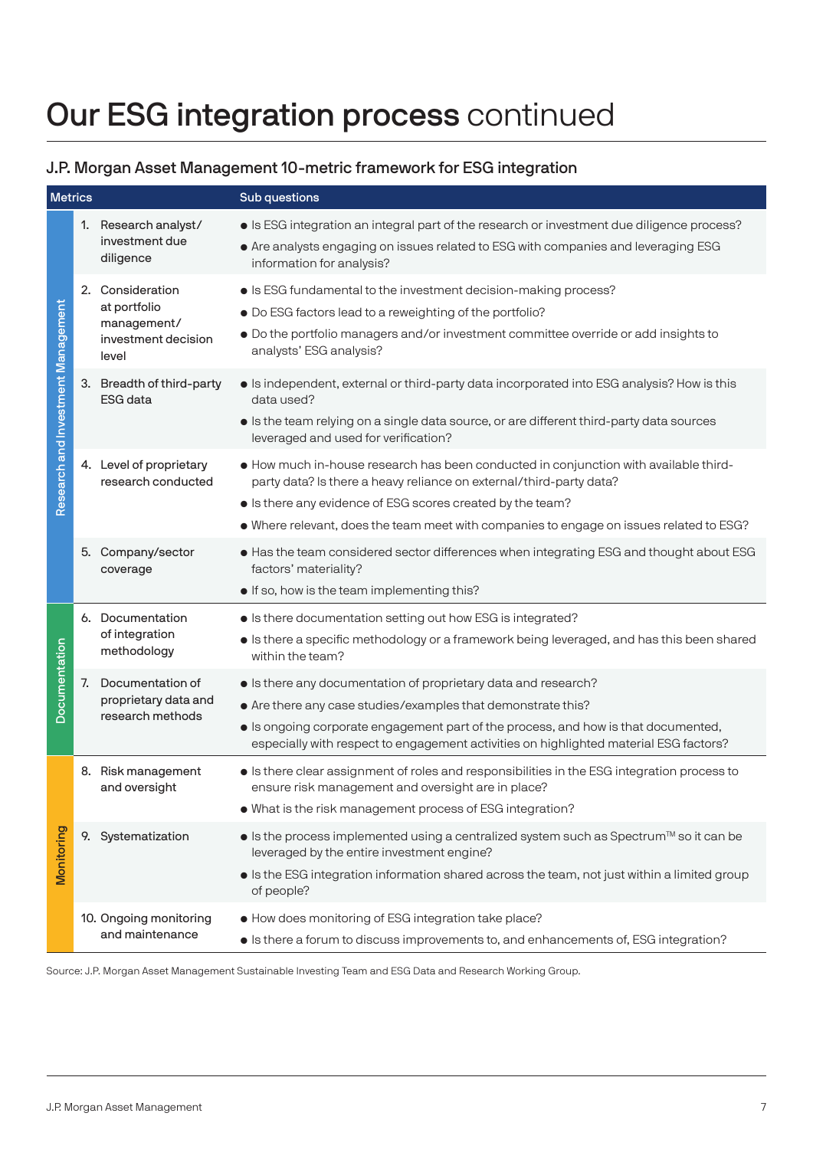# Our ESG integration process continued

### J.P. Morgan Asset Management 10-metric framework for ESG integration

| <b>Metrics</b>                     |    |                                                                                 | Sub questions                                                                                                                                                                                                                                                                                                        |
|------------------------------------|----|---------------------------------------------------------------------------------|----------------------------------------------------------------------------------------------------------------------------------------------------------------------------------------------------------------------------------------------------------------------------------------------------------------------|
| Research and Investment Management |    | 1. Research analyst/<br>investment due<br>diligence                             | • Is ESG integration an integral part of the research or investment due diligence process?<br>• Are analysts engaging on issues related to ESG with companies and leveraging ESG<br>information for analysis?                                                                                                        |
|                                    |    | 2. Consideration<br>at portfolio<br>management/<br>investment decision<br>level | • Is ESG fundamental to the investment decision-making process?<br>. Do ESG factors lead to a reweighting of the portfolio?<br>· Do the portfolio managers and/or investment committee override or add insights to<br>analysts' ESG analysis?                                                                        |
|                                    |    | 3. Breadth of third-party<br><b>ESG</b> data                                    | Is independent, external or third-party data incorporated into ESG analysis? How is this<br>data used?<br>Is the team relying on a single data source, or are different third-party data sources<br>leveraged and used for verification?                                                                             |
|                                    |    | 4. Level of proprietary<br>research conducted                                   | • How much in-house research has been conducted in conjunction with available third-<br>party data? Is there a heavy reliance on external/third-party data?<br>• Is there any evidence of ESG scores created by the team?<br>• Where relevant, does the team meet with companies to engage on issues related to ESG? |
|                                    |    | 5. Company/sector<br>coverage                                                   | • Has the team considered sector differences when integrating ESG and thought about ESG<br>factors' materiality?<br>. If so, how is the team implementing this?                                                                                                                                                      |
| Documentation                      |    | 6. Documentation<br>of integration<br>methodology                               | • Is there documentation setting out how ESG is integrated?<br>Is there a specific methodology or a framework being leveraged, and has this been shared<br>within the team?                                                                                                                                          |
|                                    | 7. | Documentation of<br>proprietary data and<br>research methods                    | • Is there any documentation of proprietary data and research?<br>• Are there any case studies/examples that demonstrate this?<br>• Is ongoing corporate engagement part of the process, and how is that documented,<br>especially with respect to engagement activities on highlighted material ESG factors?        |
| Monitoring                         |    | 8. Risk management<br>and oversight                                             | Is there clear assignment of roles and responsibilities in the ESG integration process to<br>ensure risk management and oversight are in place?<br>. What is the risk management process of ESG integration?                                                                                                         |
|                                    |    | 9. Systematization                                                              | • Is the process implemented using a centralized system such as Spectrum™ so it can be<br>leveraged by the entire investment engine?<br>Is the ESG integration information shared across the team, not just within a limited group<br>of people?                                                                     |
|                                    |    | 10. Ongoing monitoring<br>and maintenance                                       | • How does monitoring of ESG integration take place?<br>• Is there a forum to discuss improvements to, and enhancements of, ESG integration?                                                                                                                                                                         |

Source: J.P. Morgan Asset Management Sustainable Investing Team and ESG Data and Research Working Group.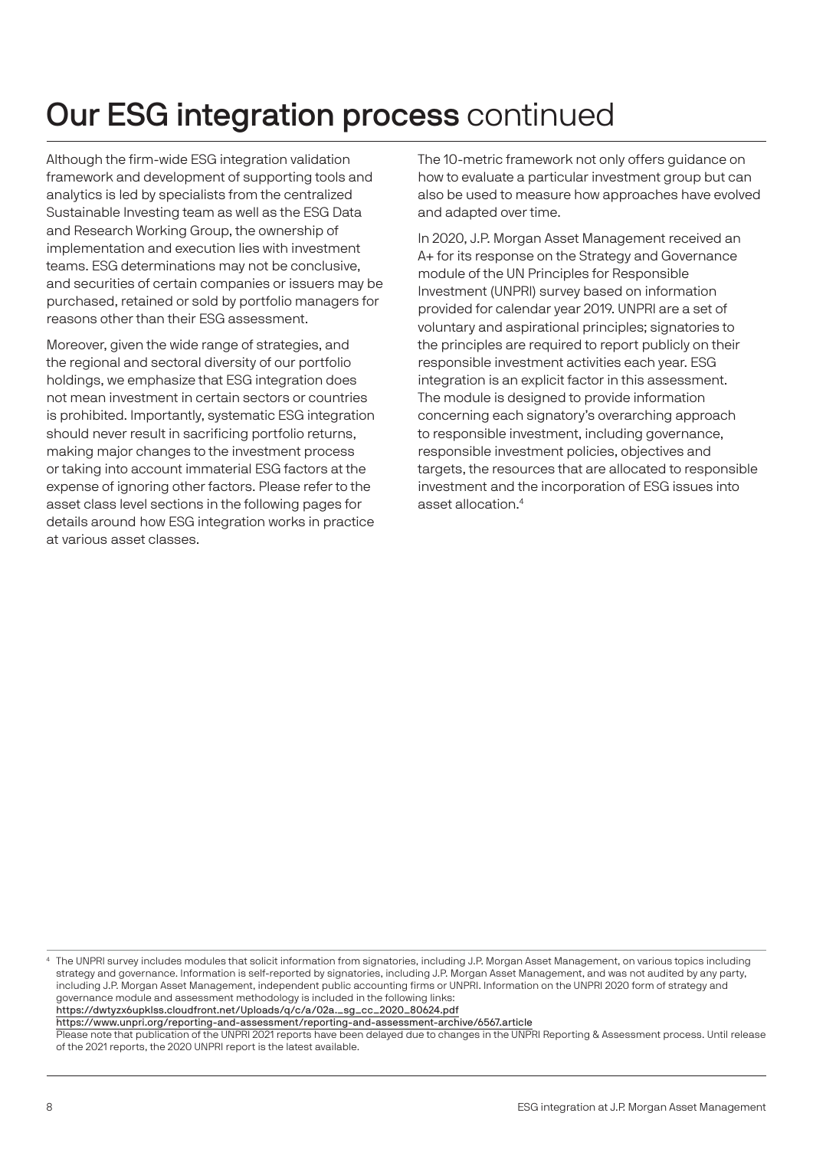# Our ESG integration process continued

Although the firm-wide ESG integration validation framework and development of supporting tools and analytics is led by specialists from the centralized Sustainable Investing team as well as the ESG Data and Research Working Group, the ownership of implementation and execution lies with investment teams. ESG determinations may not be conclusive, and securities of certain companies or issuers may be purchased, retained or sold by portfolio managers for reasons other than their ESG assessment.

Moreover, given the wide range of strategies, and the regional and sectoral diversity of our portfolio holdings, we emphasize that ESG integration does not mean investment in certain sectors or countries is prohibited. Importantly, systematic ESG integration should never result in sacrificing portfolio returns, making major changes to the investment process or taking into account immaterial ESG factors at the expense of ignoring other factors. Please refer to the asset class level sections in the following pages for details around how ESG integration works in practice at various asset classes.

The 10-metric framework not only offers guidance on how to evaluate a particular investment group but can also be used to measure how approaches have evolved and adapted over time.

In 2020, J.P. Morgan Asset Management received an A+ for its response on the Strategy and Governance module of the UN Principles for Responsible Investment (UNPRI) survey based on information provided for calendar year 2019. UNPRI are a set of voluntary and aspirational principles; signatories to the principles are required to report publicly on their responsible investment activities each year. ESG integration is an explicit factor in this assessment. The module is designed to provide information concerning each signatory's overarching approach to responsible investment, including governance, responsible investment policies, objectives and targets, the resources that are allocated to responsible investment and the incorporation of ESG issues into asset allocation.4

4 The UNPRI survey includes modules that solicit information from signatories, including J.P. Morgan Asset Management, on various topics including strategy and governance. Information is self-reported by signatories, including J.P. Morgan Asset Management, and was not audited by any party, including J.P. Morgan Asset Management, independent public accounting firms or UNPRI. Information on the UNPRI 2020 form of strategy and governance module and assessment methodology is included in the following links: https://dwtyzx6upklss.cloudfront.net/Uploads/q/c/a/02a.\_sg\_cc\_2020\_80624.pdf https://www.unpri.org/reporting-and-assessment/reporting-and-assessment-archive/6567.article Please note that publication of the UNPRI 2021 reports have been delayed due to changes in the UNPRI Reporting & Assessment process. Until release of the 2021 reports, the 2020 UNPRI report is the latest available.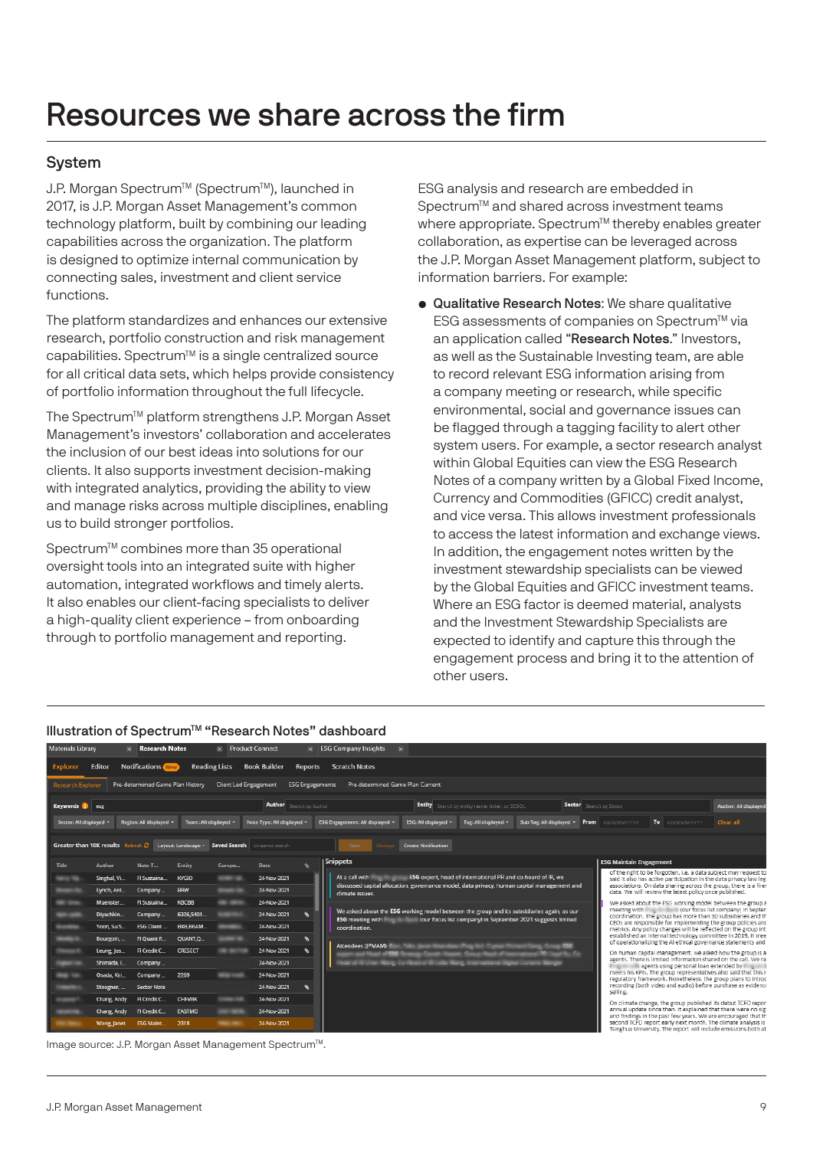#### System

J.P. Morgan Spectrum™ (Spectrum<sup>™</sup>), launched in 2017, is J.P. Morgan Asset Management's common technology platform, built by combining our leading capabilities across the organization. The platform is designed to optimize internal communication by connecting sales, investment and client service functions.

The platform standardizes and enhances our extensive research, portfolio construction and risk management capabilities. Spectrum<sup>™</sup> is a single centralized source for all critical data sets, which helps provide consistency of portfolio information throughout the full lifecycle.

The Spectrum<sup>™</sup> platform strengthens J.P. Morgan Asset Management's investors' collaboration and accelerates the inclusion of our best ideas into solutions for our clients. It also supports investment decision-making with integrated analytics, providing the ability to view and manage risks across multiple disciplines, enabling us to build stronger portfolios.

Spectrum<sup>™</sup> combines more than 35 operational oversight tools into an integrated suite with higher automation, integrated workflows and timely alerts. It also enables our client-facing specialists to deliver a high-quality client experience – from onboarding through to portfolio management and reporting.

ESG analysis and research are embedded in Spectrum<sup>™</sup> and shared across investment teams where appropriate. Spectrum<sup>™</sup> thereby enables greater collaboration, as expertise can be leveraged across the J.P. Morgan Asset Management platform, subject to information barriers. For example:

• Qualitative Research Notes: We share qualitative ESG assessments of companies on Spectrum™ via an application called "Research Notes." Investors, as well as the Sustainable Investing team, are able to record relevant ESG information arising from a company meeting or research, while specific environmental, social and governance issues can be flagged through a tagging facility to alert other system users. For example, a sector research analyst within Global Equities can view the ESG Research Notes of a company written by a Global Fixed Income, Currency and Commodities (GFICC) credit analyst, and vice versa. This allows investment professionals to access the latest information and exchange views. In addition, the engagement notes written by the investment stewardship specialists can be viewed by the Global Equities and GFICC investment teams. Where an ESG factor is deemed material, analysts and the Investment Stewardship Specialists are expected to identify and capture this through the engagement process and bring it to the attention of other users.



Image source: J.P. Morgan Asset Management Spectrum™.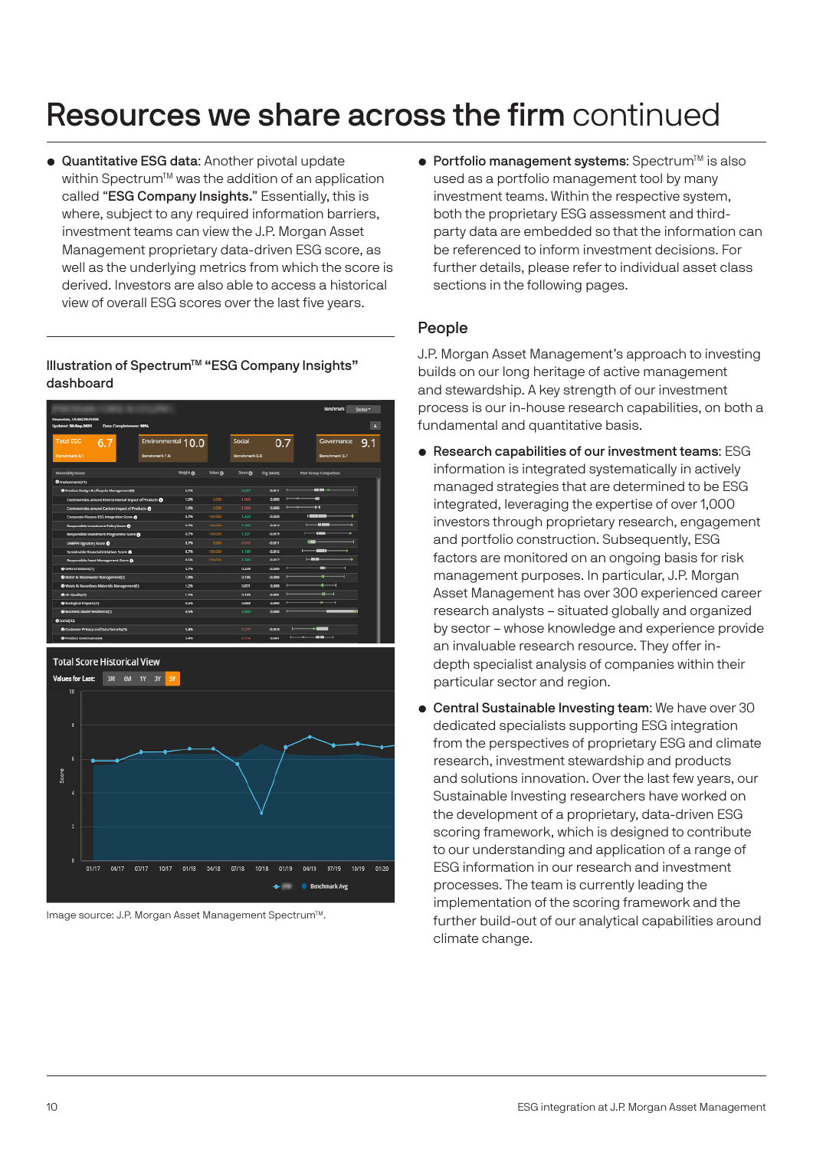• Quantitative ESG data: Another pivotal update within Spectrum™ was the addition of an application called "ESG Company Insights." Essentially, this is where, subject to any required information barriers, investment teams can view the J.P. Morgan Asset Management proprietary data-driven ESG score, as well as the underlying metrics from which the score is derived. Investors are also able to access a historical view of overall ESG scores over the last five years.

Illustration of SpectrumTM "ESG Company Insights" dashboard





Image source: J.P. Morgan Asset Management Spectrum™.

 $\bullet$  Portfolio management systems: Spectrum<sup>™</sup> is also used as a portfolio management tool by many investment teams. Within the respective system, both the proprietary ESG assessment and thirdparty data are embedded so that the information can be referenced to inform investment decisions. For further details, please refer to individual asset class sections in the following pages.

#### People

J.P. Morgan Asset Management's approach to investing builds on our long heritage of active management and stewardship. A key strength of our investment process is our in-house research capabilities, on both a fundamental and quantitative basis.

- Research capabilities of our investment teams: ESG information is integrated systematically in actively managed strategies that are determined to be ESG integrated, leveraging the expertise of over 1,000 investors through proprietary research, engagement and portfolio construction. Subsequently, ESG factors are monitored on an ongoing basis for risk management purposes. In particular, J.P. Morgan Asset Management has over 300 experienced career research analysts – situated globally and organized by sector – whose knowledge and experience provide an invaluable research resource. They offer indepth specialist analysis of companies within their particular sector and region.
- Central Sustainable Investing team: We have over 30 dedicated specialists supporting ESG integration from the perspectives of proprietary ESG and climate research, investment stewardship and products and solutions innovation. Over the last few years, our Sustainable Investing researchers have worked on the development of a proprietary, data-driven ESG scoring framework, which is designed to contribute to our understanding and application of a range of ESG information in our research and investment processes. The team is currently leading the implementation of the scoring framework and the further build-out of our analytical capabilities around climate change.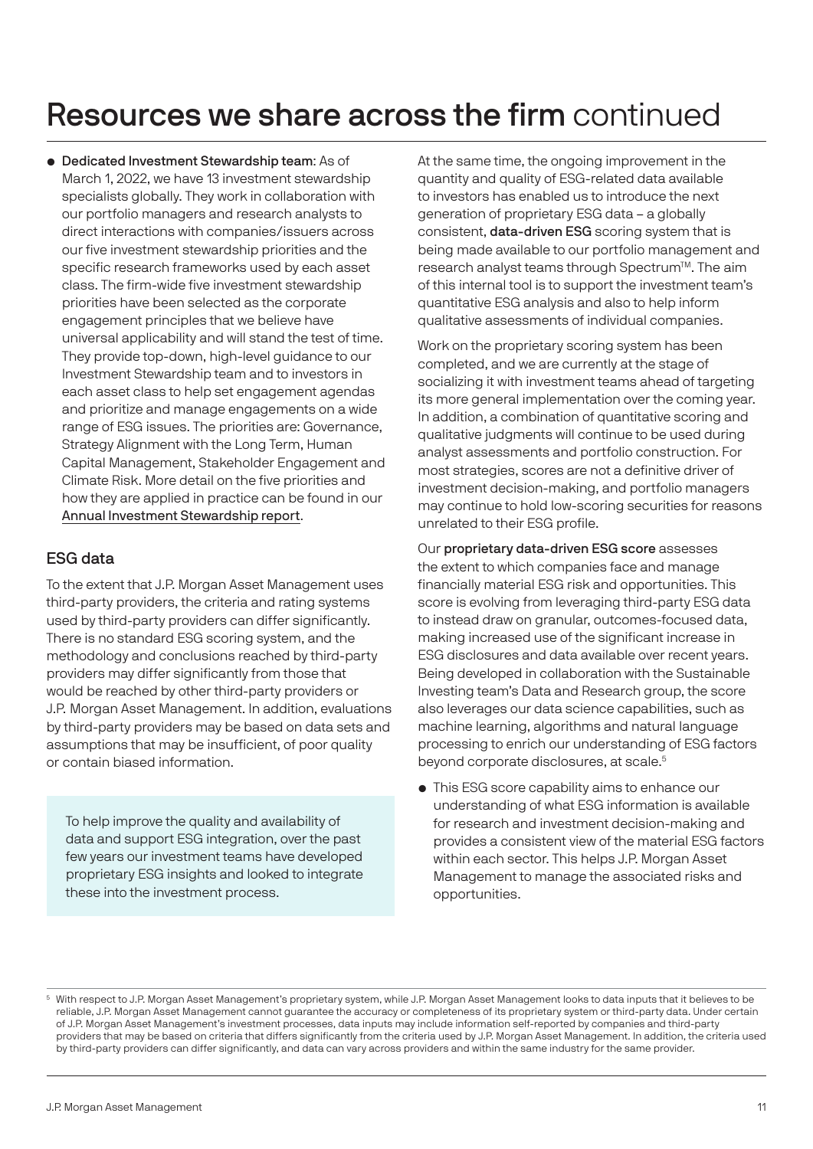• Dedicated Investment Stewardship team: As of March 1, 2022, we have 13 investment stewardship specialists globally. They work in collaboration with our portfolio managers and research analysts to direct interactions with companies/issuers across our five investment stewardship priorities and the specific research frameworks used by each asset class. The firm-wide five investment stewardship priorities have been selected as the corporate engagement principles that we believe have universal applicability and will stand the test of time. They provide top-down, high-level guidance to our Investment Stewardship team and to investors in each asset class to help set engagement agendas and prioritize and manage engagements on a wide range of ESG issues. The priorities are: Governance, Strategy Alignment with the Long Term, Human Capital Management, Stakeholder Engagement and Climate Risk. More detail on the five priorities and how they are applied in practice can be found in our [Annual Investment Stewardship report](https://am.jpmorgan.com/content/dam/jpm-am-aem/global/en/sustainable-investing/investment-stewardship-report.pdf).

#### ESG data

To the extent that J.P. Morgan Asset Management uses third-party providers, the criteria and rating systems used by third-party providers can differ significantly. There is no standard ESG scoring system, and the methodology and conclusions reached by third-party providers may differ significantly from those that would be reached by other third-party providers or J.P. Morgan Asset Management. In addition, evaluations by third-party providers may be based on data sets and assumptions that may be insufficient, of poor quality or contain biased information.

To help improve the quality and availability of data and support ESG integration, over the past few years our investment teams have developed proprietary ESG insights and looked to integrate these into the investment process.

At the same time, the ongoing improvement in the quantity and quality of ESG-related data available to investors has enabled us to introduce the next generation of proprietary ESG data – a globally consistent, data-driven ESG scoring system that is being made available to our portfolio management and research analyst teams through Spectrum™. The aim of this internal tool is to support the investment team's quantitative ESG analysis and also to help inform qualitative assessments of individual companies.

Work on the proprietary scoring system has been completed, and we are currently at the stage of socializing it with investment teams ahead of targeting its more general implementation over the coming year. In addition, a combination of quantitative scoring and qualitative judgments will continue to be used during analyst assessments and portfolio construction. For most strategies, scores are not a definitive driver of investment decision-making, and portfolio managers may continue to hold low-scoring securities for reasons unrelated to their ESG profile.

Our proprietary data-driven ESG score assesses the extent to which companies face and manage financially material ESG risk and opportunities. This score is evolving from leveraging third-party ESG data to instead draw on granular, outcomes-focused data, making increased use of the significant increase in ESG disclosures and data available over recent years. Being developed in collaboration with the Sustainable Investing team's Data and Research group, the score also leverages our data science capabilities, such as machine learning, algorithms and natural language processing to enrich our understanding of ESG factors beyond corporate disclosures, at scale.<sup>5</sup>

• This ESG score capability aims to enhance our understanding of what ESG information is available for research and investment decision-making and provides a consistent view of the material ESG factors within each sector. This helps J.P. Morgan Asset Management to manage the associated risks and opportunities.

<sup>5</sup> With respect to J.P. Morgan Asset Management's proprietary system, while J.P. Morgan Asset Management looks to data inputs that it believes to be reliable, J.P. Morgan Asset Management cannot guarantee the accuracy or completeness of its proprietary system or third-party data. Under certain of J.P. Morgan Asset Management's investment processes, data inputs may include information self-reported by companies and third-party providers that may be based on criteria that differs significantly from the criteria used by J.P. Morgan Asset Management. In addition, the criteria used by third-party providers can differ significantly, and data can vary across providers and within the same industry for the same provider.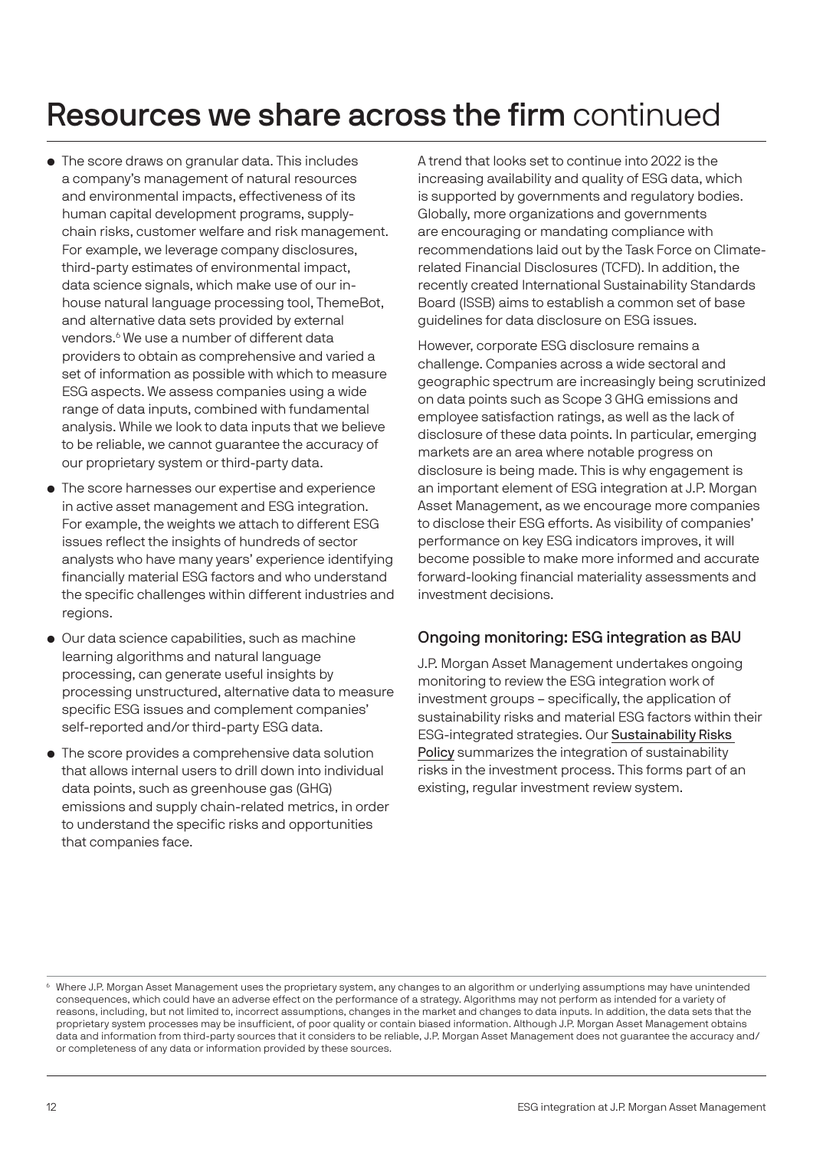- The score draws on granular data. This includes a company's management of natural resources and environmental impacts, effectiveness of its human capital development programs, supplychain risks, customer welfare and risk management. For example, we leverage company disclosures, third-party estimates of environmental impact, data science signals, which make use of our inhouse natural language processing tool, ThemeBot, and alternative data sets provided by external vendors.<sup>6</sup> We use a number of different data providers to obtain as comprehensive and varied a set of information as possible with which to measure ESG aspects. We assess companies using a wide range of data inputs, combined with fundamental analysis. While we look to data inputs that we believe to be reliable, we cannot guarantee the accuracy of our proprietary system or third-party data.
- The score harnesses our expertise and experience in active asset management and ESG integration. For example, the weights we attach to different ESG issues reflect the insights of hundreds of sector analysts who have many years' experience identifying financially material ESG factors and who understand the specific challenges within different industries and regions.
- Our data science capabilities, such as machine learning algorithms and natural language processing, can generate useful insights by processing unstructured, alternative data to measure specific ESG issues and complement companies' self-reported and/or third-party ESG data.
- The score provides a comprehensive data solution that allows internal users to drill down into individual data points, such as greenhouse gas (GHG) emissions and supply chain-related metrics, in order to understand the specific risks and opportunities that companies face.

A trend that looks set to continue into 2022 is the increasing availability and quality of ESG data, which is supported by governments and regulatory bodies. Globally, more organizations and governments are encouraging or mandating compliance with recommendations laid out by the Task Force on Climaterelated Financial Disclosures (TCFD). In addition, the recently created International Sustainability Standards Board (ISSB) aims to establish a common set of base guidelines for data disclosure on ESG issues.

However, corporate ESG disclosure remains a challenge. Companies across a wide sectoral and geographic spectrum are increasingly being scrutinized on data points such as Scope 3 GHG emissions and employee satisfaction ratings, as well as the lack of disclosure of these data points. In particular, emerging markets are an area where notable progress on disclosure is being made. This is why engagement is an important element of ESG integration at J.P. Morgan Asset Management, as we encourage more companies to disclose their ESG efforts. As visibility of companies' performance on key ESG indicators improves, it will become possible to make more informed and accurate forward-looking financial materiality assessments and investment decisions.

#### Ongoing monitoring: ESG integration as BAU

J.P. Morgan Asset Management undertakes ongoing monitoring to review the ESG integration work of investment groups – specifically, the application of sustainability risks and material ESG factors within their ESG-integrated strategies. Our S[ustainability Risks](https://am.jpmorgan.com/content/dam/jpm-am-aem/emea/regional/en/regulatory/esg-information/summary-of-sustainability-risks-policy-en.pdf)  [Policy](https://am.jpmorgan.com/content/dam/jpm-am-aem/emea/regional/en/regulatory/esg-information/summary-of-sustainability-risks-policy-en.pdf) summarizes the integration of sustainability risks in the investment process. This forms part of an existing, regular investment review system.

<sup>&</sup>lt;sup>6</sup> Where J.P. Morgan Asset Management uses the proprietary system, any changes to an algorithm or underlying assumptions may have unintended consequences, which could have an adverse effect on the performance of a strategy. Algorithms may not perform as intended for a variety of reasons, including, but not limited to, incorrect assumptions, changes in the market and changes to data inputs. In addition, the data sets that the proprietary system processes may be insufficient, of poor quality or contain biased information. Although J.P. Morgan Asset Management obtains data and information from third-party sources that it considers to be reliable, J.P. Morgan Asset Management does not guarantee the accuracy and/ or completeness of any data or information provided by these sources.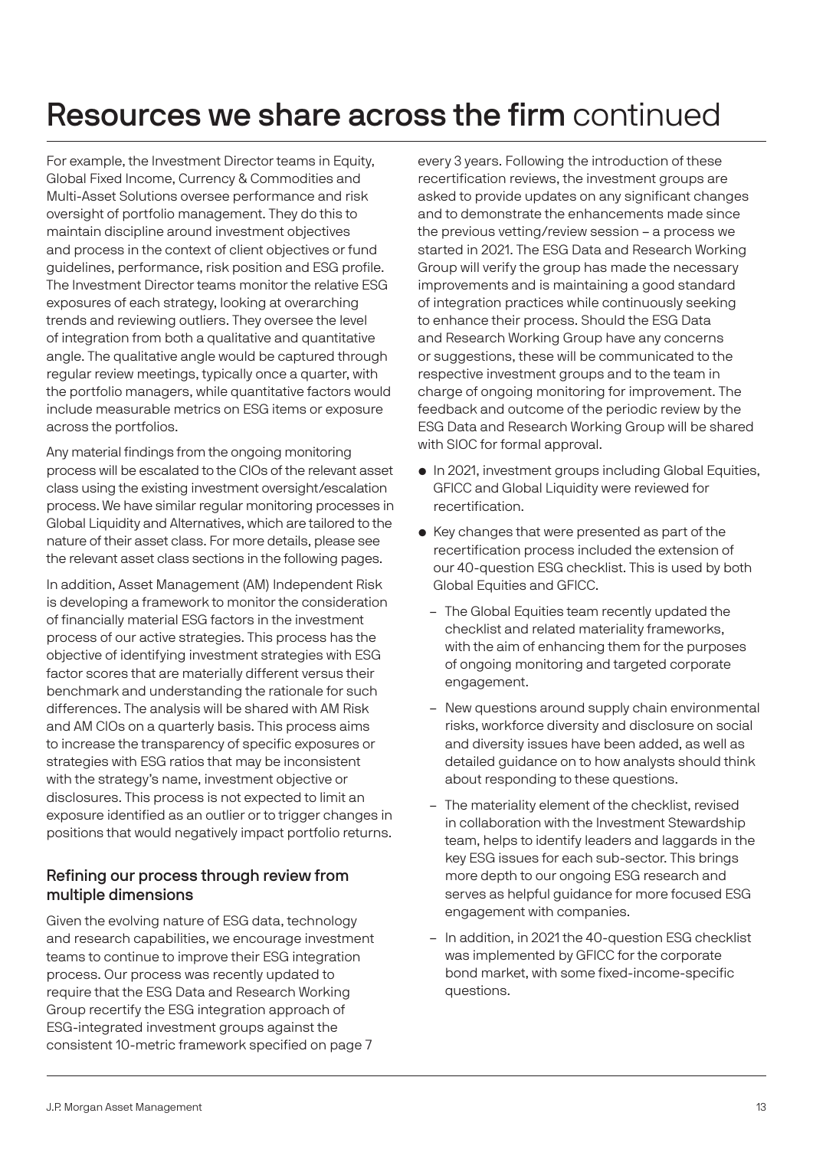For example, the Investment Director teams in Equity, Global Fixed Income, Currency & Commodities and Multi-Asset Solutions oversee performance and risk oversight of portfolio management. They do this to maintain discipline around investment objectives and process in the context of client objectives or fund guidelines, performance, risk position and ESG profile. The Investment Director teams monitor the relative ESG exposures of each strategy, looking at overarching trends and reviewing outliers. They oversee the level of integration from both a qualitative and quantitative angle. The qualitative angle would be captured through regular review meetings, typically once a quarter, with the portfolio managers, while quantitative factors would include measurable metrics on ESG items or exposure across the portfolios.

Any material findings from the ongoing monitoring process will be escalated to the CIOs of the relevant asset class using the existing investment oversight/escalation process. We have similar regular monitoring processes in Global Liquidity and Alternatives, which are tailored to the nature of their asset class. For more details, please see the relevant asset class sections in the following pages.

In addition, Asset Management (AM) Independent Risk is developing a framework to monitor the consideration of financially material ESG factors in the investment process of our active strategies. This process has the objective of identifying investment strategies with ESG factor scores that are materially different versus their benchmark and understanding the rationale for such differences. The analysis will be shared with AM Risk and AM CIOs on a quarterly basis. This process aims to increase the transparency of specific exposures or strategies with ESG ratios that may be inconsistent with the strategy's name, investment objective or disclosures. This process is not expected to limit an exposure identified as an outlier or to trigger changes in positions that would negatively impact portfolio returns.

#### Refining our process through review from multiple dimensions

Given the evolving nature of ESG data, technology and research capabilities, we encourage investment teams to continue to improve their ESG integration process. Our process was recently updated to require that the ESG Data and Research Working Group recertify the ESG integration approach of ESG-integrated investment groups against the consistent 10-metric framework specified on page 7

every 3 years. Following the introduction of these recertification reviews, the investment groups are asked to provide updates on any significant changes and to demonstrate the enhancements made since the previous vetting/review session – a process we started in 2021. The ESG Data and Research Working Group will verify the group has made the necessary improvements and is maintaining a good standard of integration practices while continuously seeking to enhance their process. Should the ESG Data and Research Working Group have any concerns or suggestions, these will be communicated to the respective investment groups and to the team in charge of ongoing monitoring for improvement. The feedback and outcome of the periodic review by the ESG Data and Research Working Group will be shared with SIOC for formal approval.

- In 2021, investment groups including Global Equities, GFICC and Global Liquidity were reviewed for recertification.
- Key changes that were presented as part of the recertification process included the extension of our 40-question ESG checklist. This is used by both Global Equities and GFICC.
	- The Global Equities team recently updated the checklist and related materiality frameworks, with the aim of enhancing them for the purposes of ongoing monitoring and targeted corporate engagement.
	- New questions around supply chain environmental risks, workforce diversity and disclosure on social and diversity issues have been added, as well as detailed guidance on to how analysts should think about responding to these questions.
	- The materiality element of the checklist, revised in collaboration with the Investment Stewardship team, helps to identify leaders and laggards in the key ESG issues for each sub-sector. This brings more depth to our ongoing ESG research and serves as helpful guidance for more focused ESG engagement with companies.
	- In addition, in 2021 the 40-question ESG checklist was implemented by GFICC for the corporate bond market, with some fixed-income-specific questions.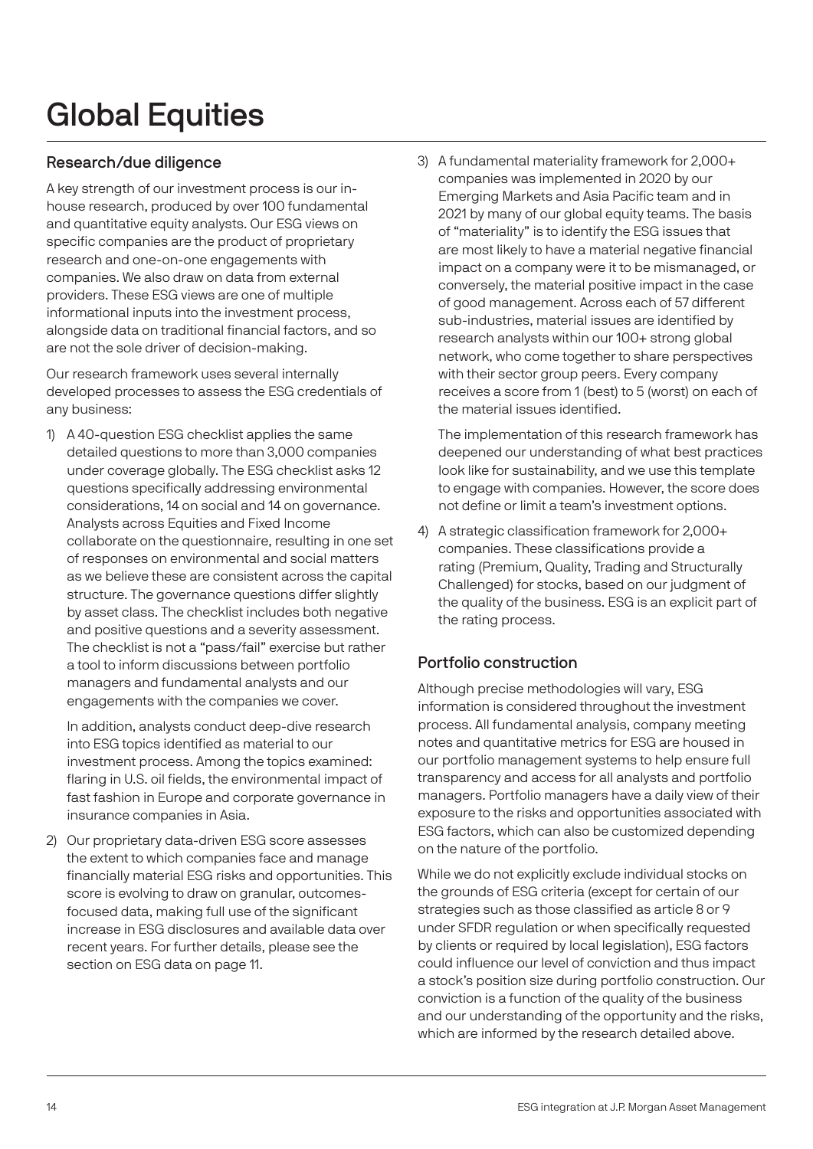# Global Equities

#### Research/due diligence

A key strength of our investment process is our inhouse research, produced by over 100 fundamental and quantitative equity analysts. Our ESG views on specific companies are the product of proprietary research and one-on-one engagements with companies. We also draw on data from external providers. These ESG views are one of multiple informational inputs into the investment process, alongside data on traditional financial factors, and so are not the sole driver of decision-making.

Our research framework uses several internally developed processes to assess the ESG credentials of any business:

1) A 40-question ESG checklist applies the same detailed questions to more than 3,000 companies under coverage globally. The ESG checklist asks 12 questions specifically addressing environmental considerations, 14 on social and 14 on governance. Analysts across Equities and Fixed Income collaborate on the questionnaire, resulting in one set of responses on environmental and social matters as we believe these are consistent across the capital structure. The governance questions differ slightly by asset class. The checklist includes both negative and positive questions and a severity assessment. The checklist is not a "pass/fail" exercise but rather a tool to inform discussions between portfolio managers and fundamental analysts and our engagements with the companies we cover.

 In addition, analysts conduct deep-dive research into ESG topics identified as material to our investment process. Among the topics examined: flaring in U.S. oil fields, the environmental impact of fast fashion in Europe and corporate governance in insurance companies in Asia.

2) Our proprietary data-driven ESG score assesses the extent to which companies face and manage financially material ESG risks and opportunities. This score is evolving to draw on granular, outcomesfocused data, making full use of the significant increase in ESG disclosures and available data over recent years. For further details, please see the section on ESG data on page 11.

3) A fundamental materiality framework for 2,000+ companies was implemented in 2020 by our Emerging Markets and Asia Pacific team and in 2021 by many of our global equity teams. The basis of "materiality" is to identify the ESG issues that are most likely to have a material negative financial impact on a company were it to be mismanaged, or conversely, the material positive impact in the case of good management. Across each of 57 different sub-industries, material issues are identified by research analysts within our 100+ strong global network, who come together to share perspectives with their sector group peers. Every company receives a score from 1 (best) to 5 (worst) on each of the material issues identified.

 The implementation of this research framework has deepened our understanding of what best practices look like for sustainability, and we use this template to engage with companies. However, the score does not define or limit a team's investment options.

4) A strategic classification framework for 2,000+ companies. These classifications provide a rating (Premium, Quality, Trading and Structurally Challenged) for stocks, based on our judgment of the quality of the business. ESG is an explicit part of the rating process.

### Portfolio construction

Although precise methodologies will vary, ESG information is considered throughout the investment process. All fundamental analysis, company meeting notes and quantitative metrics for ESG are housed in our portfolio management systems to help ensure full transparency and access for all analysts and portfolio managers. Portfolio managers have a daily view of their exposure to the risks and opportunities associated with ESG factors, which can also be customized depending on the nature of the portfolio.

While we do not explicitly exclude individual stocks on the grounds of ESG criteria (except for certain of our strategies such as those classified as article 8 or 9 under SFDR regulation or when specifically requested by clients or required by local legislation), ESG factors could influence our level of conviction and thus impact a stock's position size during portfolio construction. Our conviction is a function of the quality of the business and our understanding of the opportunity and the risks, which are informed by the research detailed above.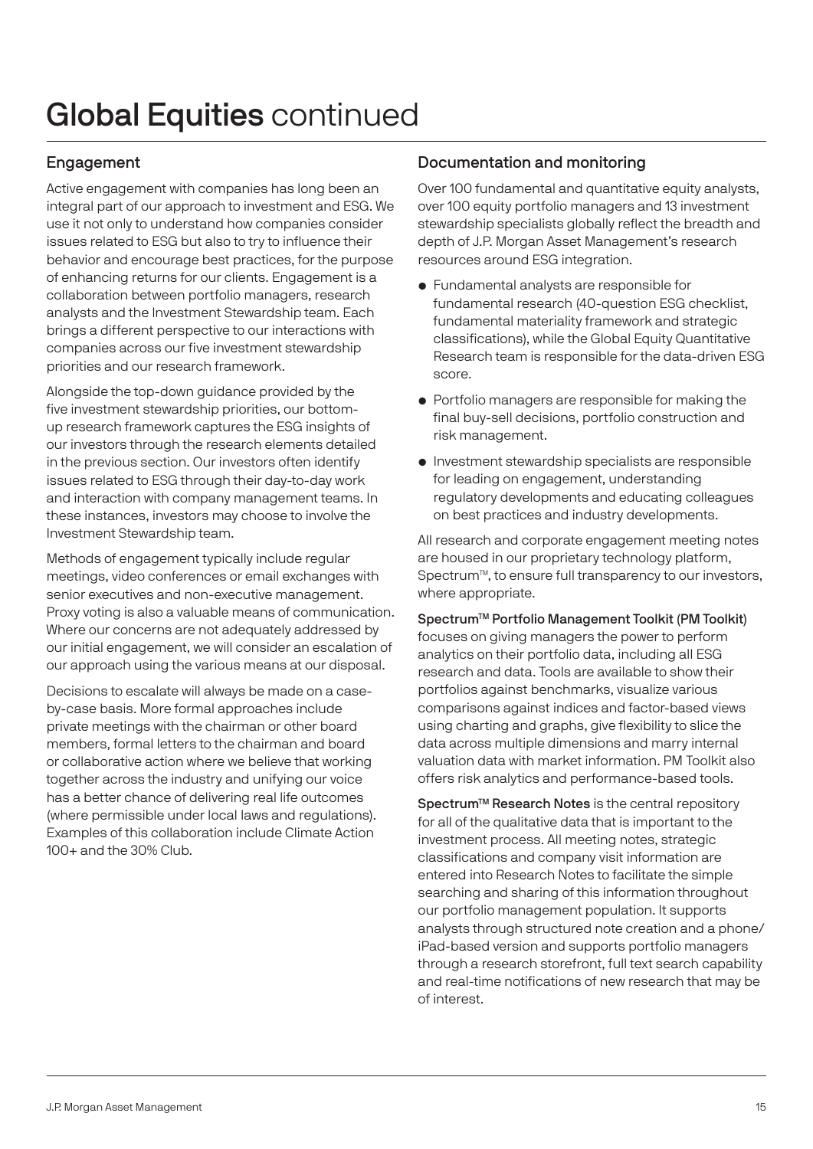# Global Equities continued

### Engagement

Active engagement with companies has long been an integral part of our approach to investment and ESG. We use it not only to understand how companies consider issues related to ESG but also to try to influence their behavior and encourage best practices, for the purpose of enhancing returns for our clients. Engagement is a collaboration between portfolio managers, research analysts and the Investment Stewardship team. Each brings a different perspective to our interactions with companies across our five investment stewardship priorities and our research framework.

Alongside the top-down guidance provided by the five investment stewardship priorities, our bottomup research framework captures the ESG insights of our investors through the research elements detailed in the previous section. Our investors often identify issues related to ESG through their day-to-day work and interaction with company management teams. In these instances, investors may choose to involve the Investment Stewardship team.

Methods of engagement typically include regular meetings, video conferences or email exchanges with senior executives and non-executive management. Proxy voting is also a valuable means of communication. Where our concerns are not adequately addressed by our initial engagement, we will consider an escalation of our approach using the various means at our disposal.

Decisions to escalate will always be made on a caseby-case basis. More formal approaches include private meetings with the chairman or other board members, formal letters to the chairman and board or collaborative action where we believe that working together across the industry and unifying our voice has a better chance of delivering real life outcomes (where permissible under local laws and regulations). Examples of this collaboration include Climate Action 100+ and the 30% Club.

#### Documentation and monitoring

Over 100 fundamental and quantitative equity analysts, over 100 equity portfolio managers and 13 investment stewardship specialists globally reflect the breadth and depth of J.P. Morgan Asset Management's research resources around ESG integration.

- Fundamental analysts are responsible for fundamental research (40-question ESG checklist, fundamental materiality framework and strategic classifications), while the Global Equity Quantitative Research team is responsible for the data-driven ESG score.
- Portfolio managers are responsible for making the final buy-sell decisions, portfolio construction and risk management.
- Investment stewardship specialists are responsible for leading on engagement, understanding regulatory developments and educating colleagues on best practices and industry developments.

All research and corporate engagement meeting notes are housed in our proprietary technology platform, Spectrum™, to ensure full transparency to our investors, where appropriate.

Spectrum™ Portfolio Management Toolkit (PM Toolkit) focuses on giving managers the power to perform analytics on their portfolio data, including all ESG research and data. Tools are available to show their portfolios against benchmarks, visualize various comparisons against indices and factor-based views using charting and graphs, give flexibility to slice the data across multiple dimensions and marry internal valuation data with market information. PM Toolkit also offers risk analytics and performance-based tools.

Spectrum<sup>™</sup> Research Notes is the central repository for all of the qualitative data that is important to the investment process. All meeting notes, strategic classifications and company visit information are entered into Research Notes to facilitate the simple searching and sharing of this information throughout our portfolio management population. It supports analysts through structured note creation and a phone/ iPad-based version and supports portfolio managers through a research storefront, full text search capability and real-time notifications of new research that may be of interest.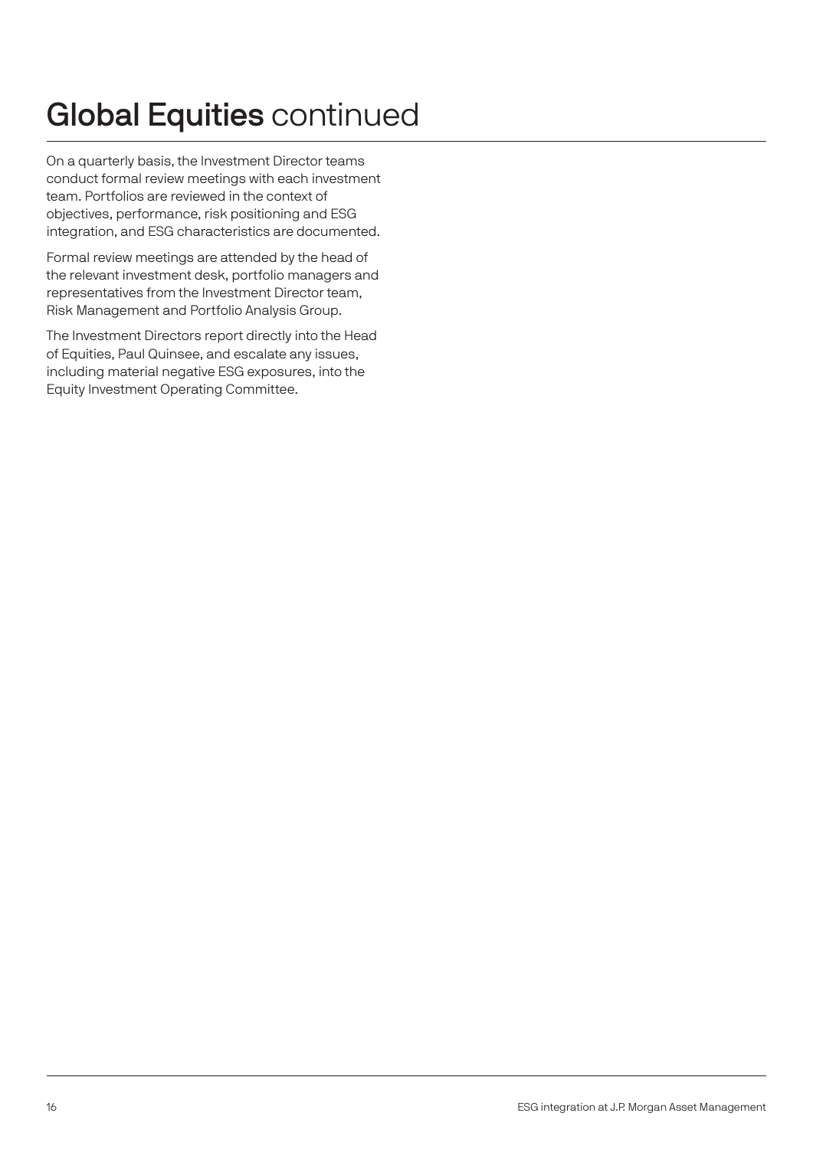# Global Equities continued

On a quarterly basis, the Investment Director teams conduct formal review meetings with each investment team. Portfolios are reviewed in the context of objectives, performance, risk positioning and ESG integration, and ESG characteristics are documented.

Formal review meetings are attended by the head of the relevant investment desk, portfolio managers and representatives from the Investment Director team, Risk Management and Portfolio Analysis Group.

The Investment Directors report directly into the Head of Equities, Paul Quinsee, and escalate any issues, including material negative ESG exposures, into the Equity Investment Operating Committee.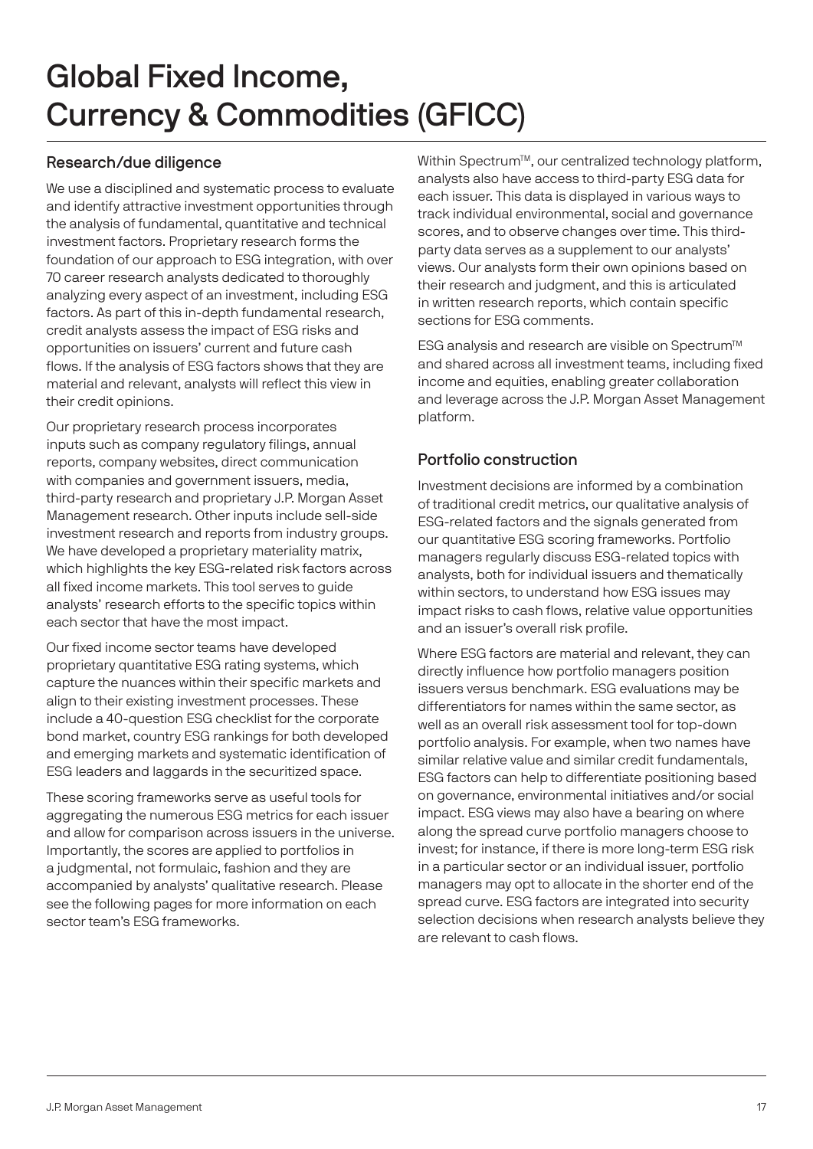### Research/due diligence

We use a disciplined and systematic process to evaluate and identify attractive investment opportunities through the analysis of fundamental, quantitative and technical investment factors. Proprietary research forms the foundation of our approach to ESG integration, with over 70 career research analysts dedicated to thoroughly analyzing every aspect of an investment, including ESG factors. As part of this in-depth fundamental research, credit analysts assess the impact of ESG risks and opportunities on issuers' current and future cash flows. If the analysis of ESG factors shows that they are material and relevant, analysts will reflect this view in their credit opinions.

Our proprietary research process incorporates inputs such as company regulatory filings, annual reports, company websites, direct communication with companies and government issuers, media, third-party research and proprietary J.P. Morgan Asset Management research. Other inputs include sell-side investment research and reports from industry groups. We have developed a proprietary materiality matrix, which highlights the key ESG-related risk factors across all fixed income markets. This tool serves to guide analysts' research efforts to the specific topics within each sector that have the most impact.

Our fixed income sector teams have developed proprietary quantitative ESG rating systems, which capture the nuances within their specific markets and align to their existing investment processes. These include a 40-question ESG checklist for the corporate bond market, country ESG rankings for both developed and emerging markets and systematic identification of ESG leaders and laggards in the securitized space.

These scoring frameworks serve as useful tools for aggregating the numerous ESG metrics for each issuer and allow for comparison across issuers in the universe. Importantly, the scores are applied to portfolios in a judgmental, not formulaic, fashion and they are accompanied by analysts' qualitative research. Please see the following pages for more information on each sector team's ESG frameworks.

Within Spectrum<sup>™</sup>, our centralized technology platform, analysts also have access to third-party ESG data for each issuer. This data is displayed in various ways to track individual environmental, social and governance scores, and to observe changes over time. This thirdparty data serves as a supplement to our analysts' views. Our analysts form their own opinions based on their research and judgment, and this is articulated in written research reports, which contain specific sections for ESG comments.

ESG analysis and research are visible on Spectrum<sup>™</sup> and shared across all investment teams, including fixed income and equities, enabling greater collaboration and leverage across the J.P. Morgan Asset Management platform.

### Portfolio construction

Investment decisions are informed by a combination of traditional credit metrics, our qualitative analysis of ESG-related factors and the signals generated from our quantitative ESG scoring frameworks. Portfolio managers regularly discuss ESG-related topics with analysts, both for individual issuers and thematically within sectors, to understand how ESG issues may impact risks to cash flows, relative value opportunities and an issuer's overall risk profile.

Where ESG factors are material and relevant, they can directly influence how portfolio managers position issuers versus benchmark. ESG evaluations may be differentiators for names within the same sector, as well as an overall risk assessment tool for top-down portfolio analysis. For example, when two names have similar relative value and similar credit fundamentals, ESG factors can help to differentiate positioning based on governance, environmental initiatives and/or social impact. ESG views may also have a bearing on where along the spread curve portfolio managers choose to invest; for instance, if there is more long-term ESG risk in a particular sector or an individual issuer, portfolio managers may opt to allocate in the shorter end of the spread curve. ESG factors are integrated into security selection decisions when research analysts believe they are relevant to cash flows.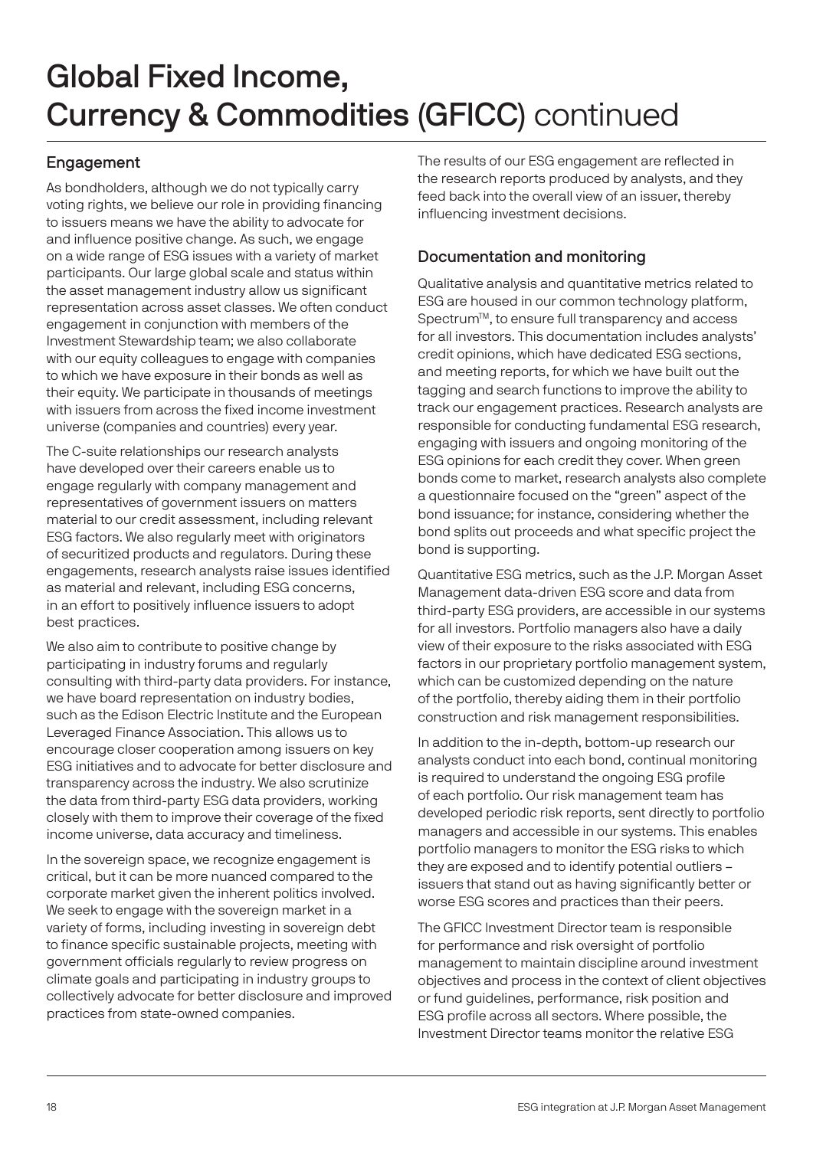### Engagement

As bondholders, although we do not typically carry voting rights, we believe our role in providing financing to issuers means we have the ability to advocate for and influence positive change. As such, we engage on a wide range of ESG issues with a variety of market participants. Our large global scale and status within the asset management industry allow us significant representation across asset classes. We often conduct engagement in conjunction with members of the Investment Stewardship team; we also collaborate with our equity colleagues to engage with companies to which we have exposure in their bonds as well as their equity. We participate in thousands of meetings with issuers from across the fixed income investment universe (companies and countries) every year.

The C-suite relationships our research analysts have developed over their careers enable us to engage regularly with company management and representatives of government issuers on matters material to our credit assessment, including relevant ESG factors. We also regularly meet with originators of securitized products and regulators. During these engagements, research analysts raise issues identified as material and relevant, including ESG concerns, in an effort to positively influence issuers to adopt best practices.

We also aim to contribute to positive change by participating in industry forums and regularly consulting with third-party data providers. For instance, we have board representation on industry bodies, such as the Edison Electric Institute and the European Leveraged Finance Association. This allows us to encourage closer cooperation among issuers on key ESG initiatives and to advocate for better disclosure and transparency across the industry. We also scrutinize the data from third-party ESG data providers, working closely with them to improve their coverage of the fixed income universe, data accuracy and timeliness.

In the sovereign space, we recognize engagement is critical, but it can be more nuanced compared to the corporate market given the inherent politics involved. We seek to engage with the sovereign market in a variety of forms, including investing in sovereign debt to finance specific sustainable projects, meeting with government officials regularly to review progress on climate goals and participating in industry groups to collectively advocate for better disclosure and improved practices from state-owned companies.

The results of our ESG engagement are reflected in the research reports produced by analysts, and they feed back into the overall view of an issuer, thereby influencing investment decisions.

### Documentation and monitoring

Qualitative analysis and quantitative metrics related to ESG are housed in our common technology platform, Spectrum<sup>™</sup>, to ensure full transparency and access for all investors. This documentation includes analysts' credit opinions, which have dedicated ESG sections, and meeting reports, for which we have built out the tagging and search functions to improve the ability to track our engagement practices. Research analysts are responsible for conducting fundamental ESG research, engaging with issuers and ongoing monitoring of the ESG opinions for each credit they cover. When green bonds come to market, research analysts also complete a questionnaire focused on the "green" aspect of the bond issuance; for instance, considering whether the bond splits out proceeds and what specific project the bond is supporting.

Quantitative ESG metrics, such as the J.P. Morgan Asset Management data-driven ESG score and data from third-party ESG providers, are accessible in our systems for all investors. Portfolio managers also have a daily view of their exposure to the risks associated with ESG factors in our proprietary portfolio management system, which can be customized depending on the nature of the portfolio, thereby aiding them in their portfolio construction and risk management responsibilities.

In addition to the in-depth, bottom-up research our analysts conduct into each bond, continual monitoring is required to understand the ongoing ESG profile of each portfolio. Our risk management team has developed periodic risk reports, sent directly to portfolio managers and accessible in our systems. This enables portfolio managers to monitor the ESG risks to which they are exposed and to identify potential outliers – issuers that stand out as having significantly better or worse ESG scores and practices than their peers.

The GFICC Investment Director team is responsible for performance and risk oversight of portfolio management to maintain discipline around investment objectives and process in the context of client objectives or fund guidelines, performance, risk position and ESG profile across all sectors. Where possible, the Investment Director teams monitor the relative ESG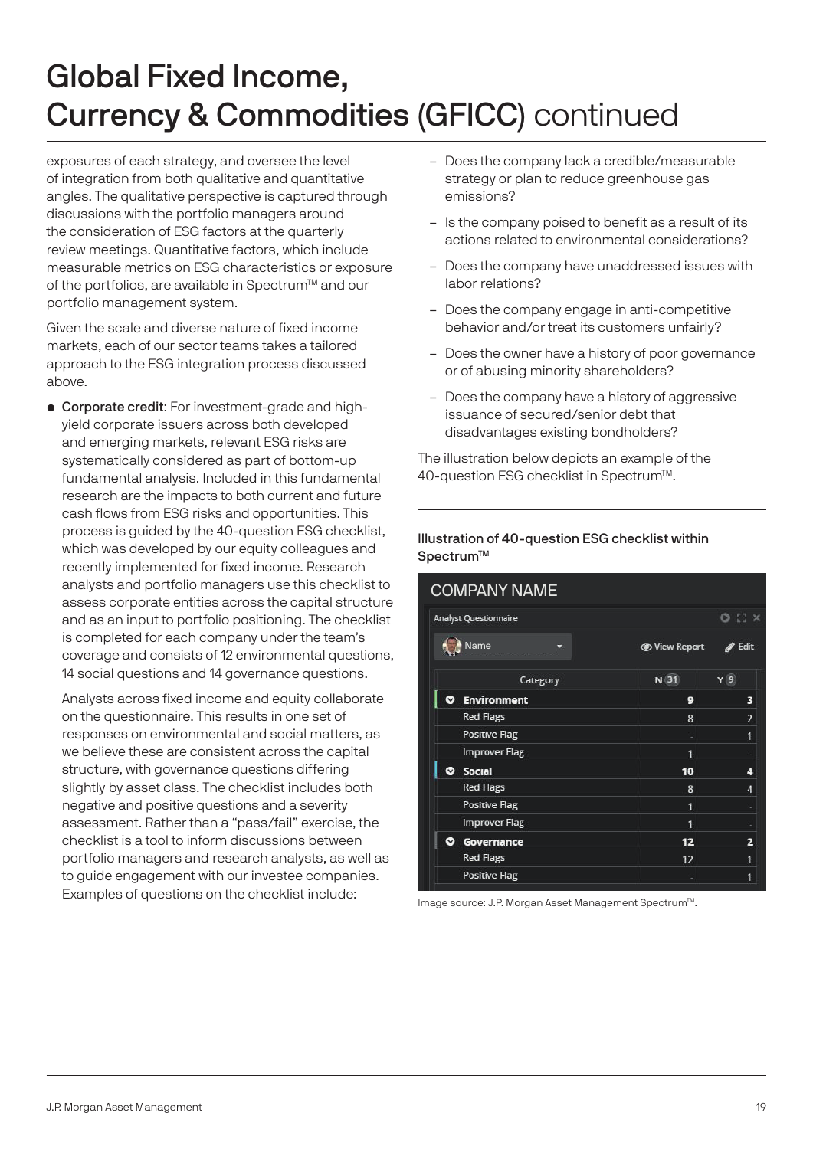exposures of each strategy, and oversee the level of integration from both qualitative and quantitative angles. The qualitative perspective is captured through discussions with the portfolio managers around the consideration of ESG factors at the quarterly review meetings. Quantitative factors, which include measurable metrics on ESG characteristics or exposure of the portfolios, are available in Spectrum™ and our portfolio management system.

Given the scale and diverse nature of fixed income markets, each of our sector teams takes a tailored approach to the ESG integration process discussed above.

• Corporate credit: For investment-grade and highyield corporate issuers across both developed and emerging markets, relevant ESG risks are systematically considered as part of bottom-up fundamental analysis. Included in this fundamental research are the impacts to both current and future cash flows from ESG risks and opportunities. This process is guided by the 40-question ESG checklist, which was developed by our equity colleagues and recently implemented for fixed income. Research analysts and portfolio managers use this checklist to assess corporate entities across the capital structure and as an input to portfolio positioning. The checklist is completed for each company under the team's coverage and consists of 12 environmental questions, 14 social questions and 14 governance questions.

 Analysts across fixed income and equity collaborate on the questionnaire. This results in one set of responses on environmental and social matters, as we believe these are consistent across the capital structure, with governance questions differing slightly by asset class. The checklist includes both negative and positive questions and a severity assessment. Rather than a "pass/fail" exercise, the checklist is a tool to inform discussions between portfolio managers and research analysts, as well as to guide engagement with our investee companies. Examples of questions on the checklist include:

- Does the company lack a credible/measurable strategy or plan to reduce greenhouse gas emissions?
- Is the company poised to benefit as a result of its actions related to environmental considerations?
- Does the company have unaddressed issues with labor relations?
- Does the company engage in anti-competitive behavior and/or treat its customers unfairly?
- Does the owner have a history of poor governance or of abusing minority shareholders?
- Does the company have a history of aggressive issuance of secured/senior debt that disadvantages existing bondholders?

The illustration below depicts an example of the 40-question ESG checklist in Spectrum™.

#### Illustration of 40-question ESG checklist within Spectrum™

|   | <b>Analyst Questionnaire</b> |                             | $\sim$ $\sim$ $\sim$ |
|---|------------------------------|-----------------------------|----------------------|
|   | Name                         | <b><i>S</i></b> View Report | Edit                 |
|   | Category                     | N(31)                       | Y(9)                 |
| Ø | <b>Environment</b>           | 9                           | 3                    |
|   | <b>Red Flags</b>             | 8                           | $\overline{2}$       |
|   | Positive Flag                |                             | 1                    |
|   | <b>Improver Flag</b>         | 1                           |                      |
|   | <b>C</b> Social              | 10                          | 4                    |
|   | <b>Red Flags</b>             | 8                           | 4                    |
|   | <b>Positive Flag</b>         | 1                           |                      |
|   | <b>Improver Flag</b>         | 1                           |                      |
| ◉ | Governance                   | 12                          | 2                    |
|   | <b>Red Flags</b>             | 12                          | 1                    |
|   | <b>Positive Flag</b>         |                             | 1                    |

Image source: J.P. Morgan Asset Management Spectrum™.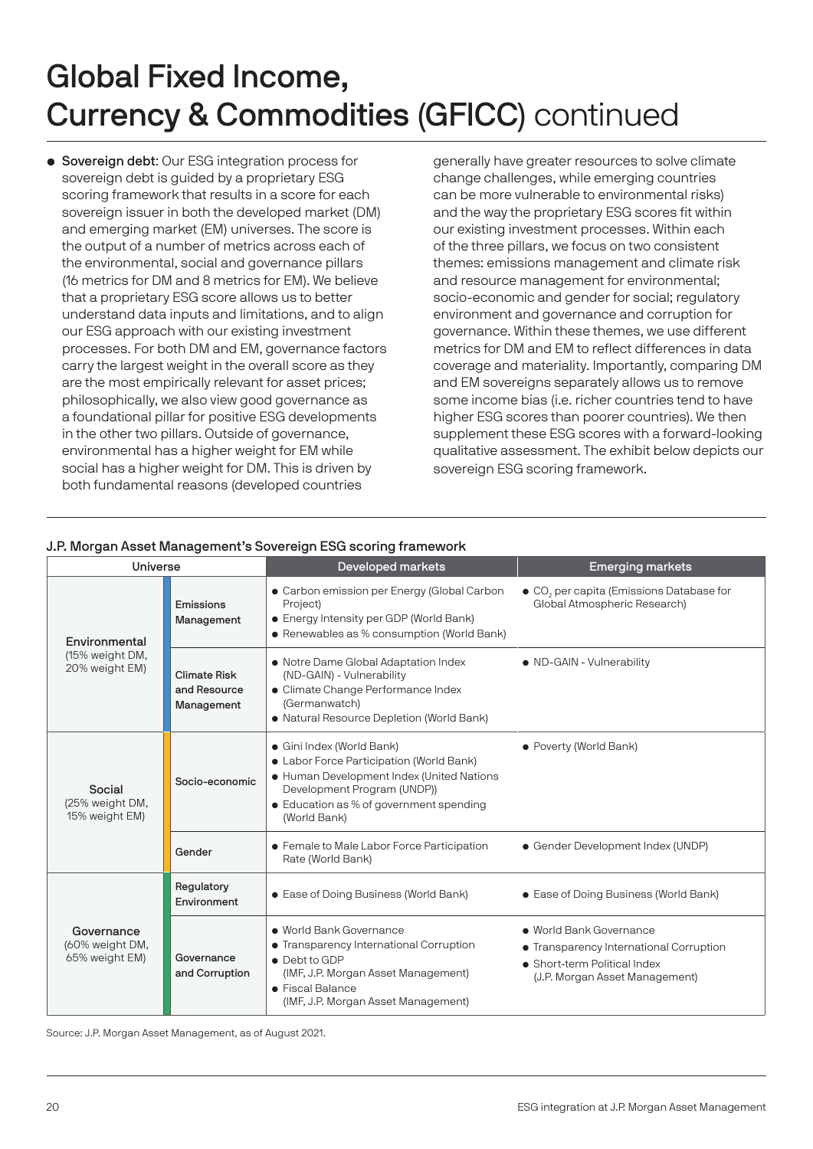• Sovereign debt: Our ESG integration process for sovereign debt is guided by a proprietary ESG scoring framework that results in a score for each sovereign issuer in both the developed market (DM) and emerging market (EM) universes. The score is the output of a number of metrics across each of the environmental, social and governance pillars (16 metrics for DM and 8 metrics for EM). We believe that a proprietary ESG score allows us to better understand data inputs and limitations, and to align our ESG approach with our existing investment processes. For both DM and EM, governance factors carry the largest weight in the overall score as they are the most empirically relevant for asset prices; philosophically, we also view good governance as a foundational pillar for positive ESG developments in the other two pillars. Outside of governance, environmental has a higher weight for EM while social has a higher weight for DM. This is driven by both fundamental reasons (developed countries

generally have greater resources to solve climate change challenges, while emerging countries can be more vulnerable to environmental risks) and the way the proprietary ESG scores fit within our existing investment processes. Within each of the three pillars, we focus on two consistent themes: emissions management and climate risk and resource management for environmental; socio-economic and gender for social; regulatory environment and governance and corruption for governance. Within these themes, we use different metrics for DM and EM to reflect differences in data coverage and materiality. Importantly, comparing DM and EM sovereigns separately allows us to remove some income bias (i.e. richer countries tend to have higher ESG scores than poorer countries). We then supplement these ESG scores with a forward-looking qualitative assessment. The exhibit below depicts our sovereign ESG scoring framework.

| <b>Universe</b>                                 |                                                   | <b>Developed markets</b>                                                                                                                                                                                     | <b>Emerging markets</b>                                                                                                              |
|-------------------------------------------------|---------------------------------------------------|--------------------------------------------------------------------------------------------------------------------------------------------------------------------------------------------------------------|--------------------------------------------------------------------------------------------------------------------------------------|
| Environmental                                   | Emissions<br>Management                           | • Carbon emission per Energy (Global Carbon<br>Project)<br>• Energy Intensity per GDP (World Bank)<br>• Renewables as % consumption (World Bank)                                                             | · CO <sub>2</sub> per capita (Emissions Database for<br>Global Atmospheric Research)                                                 |
| (15% weight DM,<br>20% weight EM)               | <b>Climate Risk</b><br>and Resource<br>Management | • Notre Dame Global Adaptation Index<br>(ND-GAIN) - Vulnerability<br>• Climate Change Performance Index<br>(Germanwatch)<br>• Natural Resource Depletion (World Bank)                                        | • ND-GAIN - Vulnerability                                                                                                            |
| Social<br>(25% weight DM,<br>15% weight EM)     | Socio-economic                                    | · Gini Index (World Bank)<br>• Labor Force Participation (World Bank)<br>• Human Development Index (United Nations<br>Development Program (UNDP))<br>• Education as % of government spending<br>(World Bank) | • Poverty (World Bank)                                                                                                               |
|                                                 | Gender                                            | • Female to Male Labor Force Participation<br>Rate (World Bank)                                                                                                                                              | • Gender Development Index (UNDP)                                                                                                    |
|                                                 | Regulatory<br>Environment                         | • Ease of Doing Business (World Bank)                                                                                                                                                                        | • Ease of Doing Business (World Bank)                                                                                                |
| Governance<br>(60% weight DM,<br>65% weight EM) | Governance<br>and Corruption                      | · World Bank Governance<br>• Transparency International Corruption<br>• Debt to GDP<br>(IMF, J.P. Morgan Asset Management)<br>• Fiscal Balance<br>(IMF, J.P. Morgan Asset Management)                        | • World Bank Governance<br>• Transparency International Corruption<br>• Short-term Political Index<br>(J.P. Morgan Asset Management) |

#### J.P. Morgan Asset Management's Sovereign ESG scoring framework

Source: J.P. Morgan Asset Management, as of August 2021.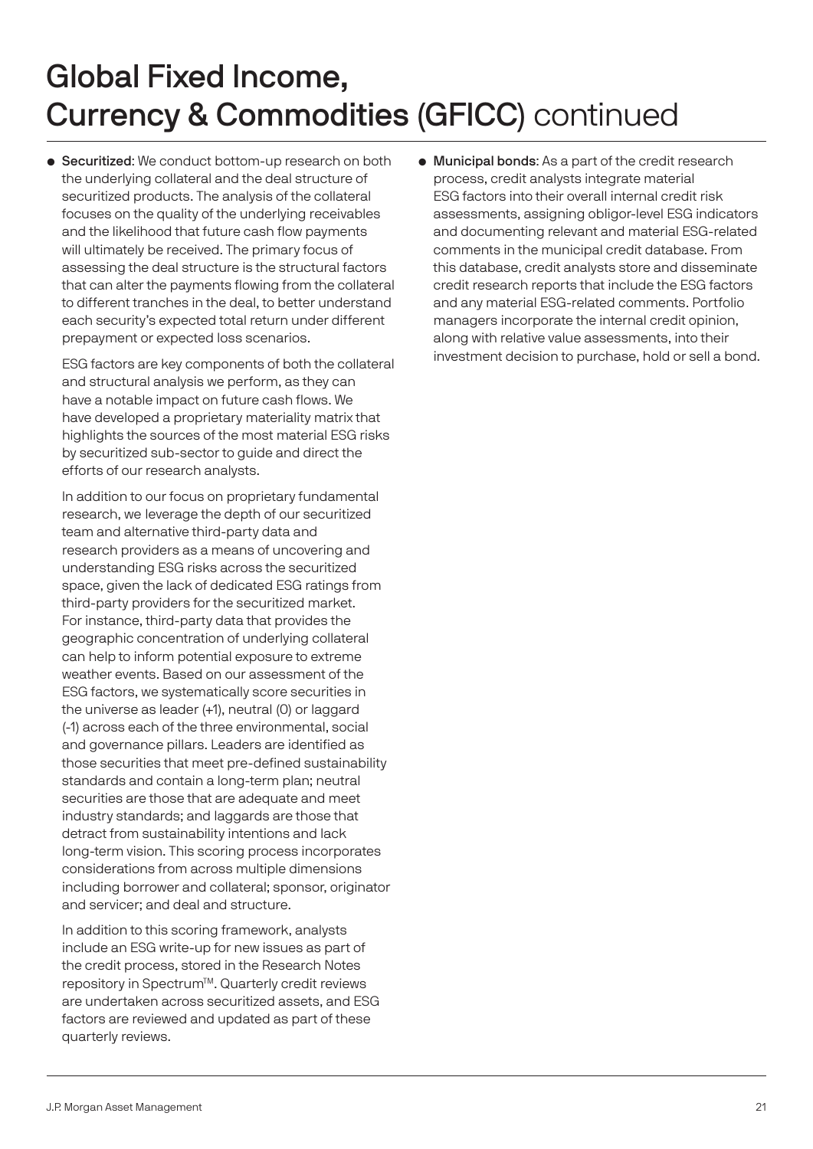• Securitized: We conduct bottom-up research on both the underlying collateral and the deal structure of securitized products. The analysis of the collateral focuses on the quality of the underlying receivables and the likelihood that future cash flow payments will ultimately be received. The primary focus of assessing the deal structure is the structural factors that can alter the payments flowing from the collateral to different tranches in the deal, to better understand each security's expected total return under different prepayment or expected loss scenarios.

 ESG factors are key components of both the collateral and structural analysis we perform, as they can have a notable impact on future cash flows. We have developed a proprietary materiality matrix that highlights the sources of the most material ESG risks by securitized sub-sector to guide and direct the efforts of our research analysts.

 In addition to our focus on proprietary fundamental research, we leverage the depth of our securitized team and alternative third-party data and research providers as a means of uncovering and understanding ESG risks across the securitized space, given the lack of dedicated ESG ratings from third-party providers for the securitized market. For instance, third-party data that provides the geographic concentration of underlying collateral can help to inform potential exposure to extreme weather events. Based on our assessment of the ESG factors, we systematically score securities in the universe as leader (+1), neutral (0) or laggard (-1) across each of the three environmental, social and governance pillars. Leaders are identified as those securities that meet pre-defined sustainability standards and contain a long-term plan; neutral securities are those that are adequate and meet industry standards; and laggards are those that detract from sustainability intentions and lack long-term vision. This scoring process incorporates considerations from across multiple dimensions including borrower and collateral; sponsor, originator and servicer; and deal and structure.

 In addition to this scoring framework, analysts include an ESG write-up for new issues as part of the credit process, stored in the Research Notes repository in Spectrum™. Quarterly credit reviews are undertaken across securitized assets, and ESG factors are reviewed and updated as part of these quarterly reviews.

• Municipal bonds: As a part of the credit research process, credit analysts integrate material ESG factors into their overall internal credit risk assessments, assigning obligor-level ESG indicators and documenting relevant and material ESG-related comments in the municipal credit database. From this database, credit analysts store and disseminate credit research reports that include the ESG factors and any material ESG-related comments. Portfolio managers incorporate the internal credit opinion, along with relative value assessments, into their investment decision to purchase, hold or sell a bond.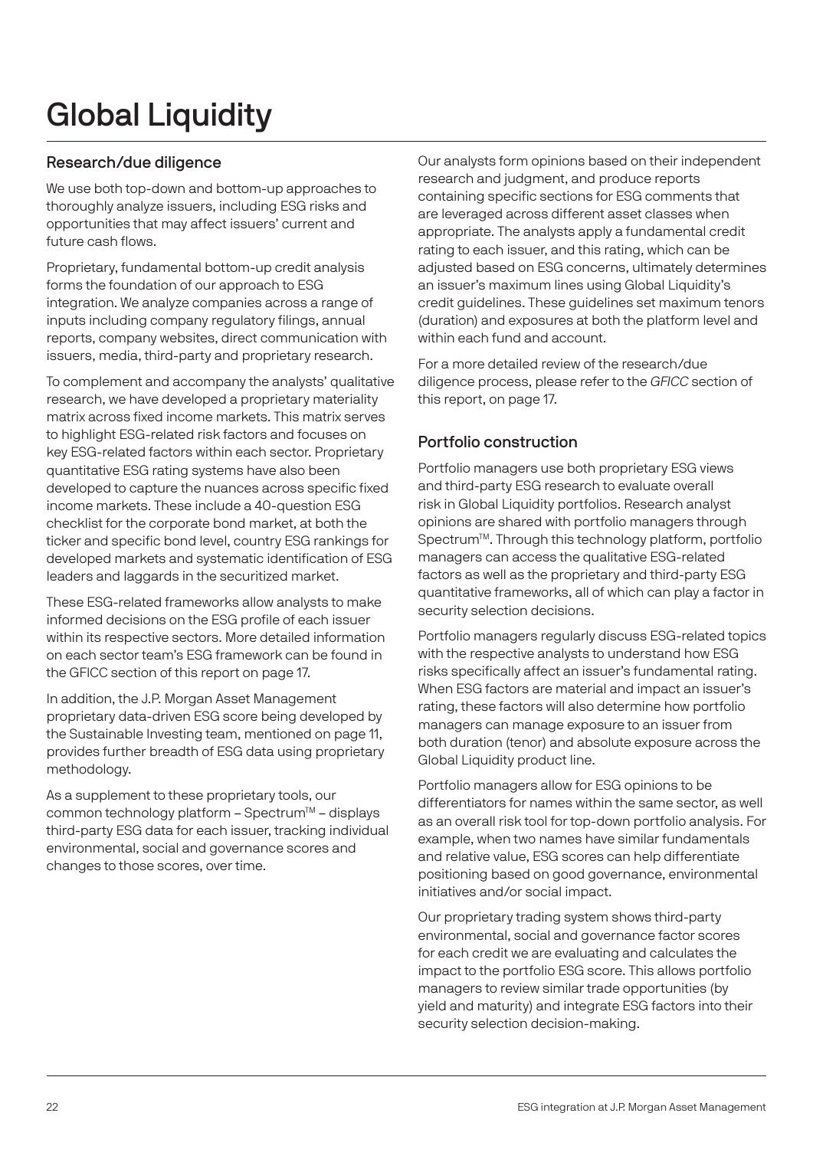# Global Liquidity

### Research/due diligence

We use both top-down and bottom-up approaches to thoroughly analyze issuers, including ESG risks and opportunities that may affect issuers' current and future cash flows.

Proprietary, fundamental bottom-up credit analysis forms the foundation of our approach to ESG integration. We analyze companies across a range of inputs including company regulatory filings, annual reports, company websites, direct communication with issuers, media, third-party and proprietary research.

To complement and accompany the analysts' qualitative research, we have developed a proprietary materiality matrix across fixed income markets. This matrix serves to highlight ESG-related risk factors and focuses on key ESG-related factors within each sector. Proprietary quantitative ESG rating systems have also been developed to capture the nuances across specific fixed income markets. These include a 40-question ESG checklist for the corporate bond market, at both the ticker and specific bond level, country ESG rankings for developed markets and systematic identification of ESG leaders and laggards in the securitized market.

These ESG-related frameworks allow analysts to make informed decisions on the ESG profile of each issuer within its respective sectors. More detailed information on each sector team's ESG framework can be found in the GFICC section of this report on page 17.

In addition, the J.P. Morgan Asset Management proprietary data-driven ESG score being developed by the Sustainable Investing team, mentioned on page 11, provides further breadth of ESG data using proprietary methodology.

As a supplement to these proprietary tools, our common technology platform - Spectrum™ - displays third-party ESG data for each issuer, tracking individual environmental, social and governance scores and changes to those scores, over time.

Our analysts form opinions based on their independent research and judgment, and produce reports containing specific sections for ESG comments that are leveraged across different asset classes when appropriate. The analysts apply a fundamental credit rating to each issuer, and this rating, which can be adjusted based on ESG concerns, ultimately determines an issuer's maximum lines using Global Liquidity's credit guidelines. These guidelines set maximum tenors (duration) and exposures at both the platform level and within each fund and account.

For a more detailed review of the research/due diligence process, please refer to the GFICC section of this report, on page 17.

#### Portfolio construction

Portfolio managers use both proprietary ESG views and third-party ESG research to evaluate overall risk in Global Liquidity portfolios. Research analyst opinions are shared with portfolio managers through Spectrum<sup>™</sup>. Through this technology platform, portfolio managers can access the qualitative ESG-related factors as well as the proprietary and third-party ESG quantitative frameworks, all of which can play a factor in security selection decisions.

Portfolio managers regularly discuss ESG-related topics with the respective analysts to understand how ESG risks specifically affect an issuer's fundamental rating. When ESG factors are material and impact an issuer's rating, these factors will also determine how portfolio managers can manage exposure to an issuer from both duration (tenor) and absolute exposure across the Global Liquidity product line.

Portfolio managers allow for ESG opinions to be differentiators for names within the same sector, as well as an overall risk tool for top-down portfolio analysis. For example, when two names have similar fundamentals and relative value, ESG scores can help differentiate positioning based on good governance, environmental initiatives and/or social impact.

Our proprietary trading system shows third-party environmental, social and governance factor scores for each credit we are evaluating and calculates the impact to the portfolio ESG score. This allows portfolio managers to review similar trade opportunities (by yield and maturity) and integrate ESG factors into their security selection decision-making.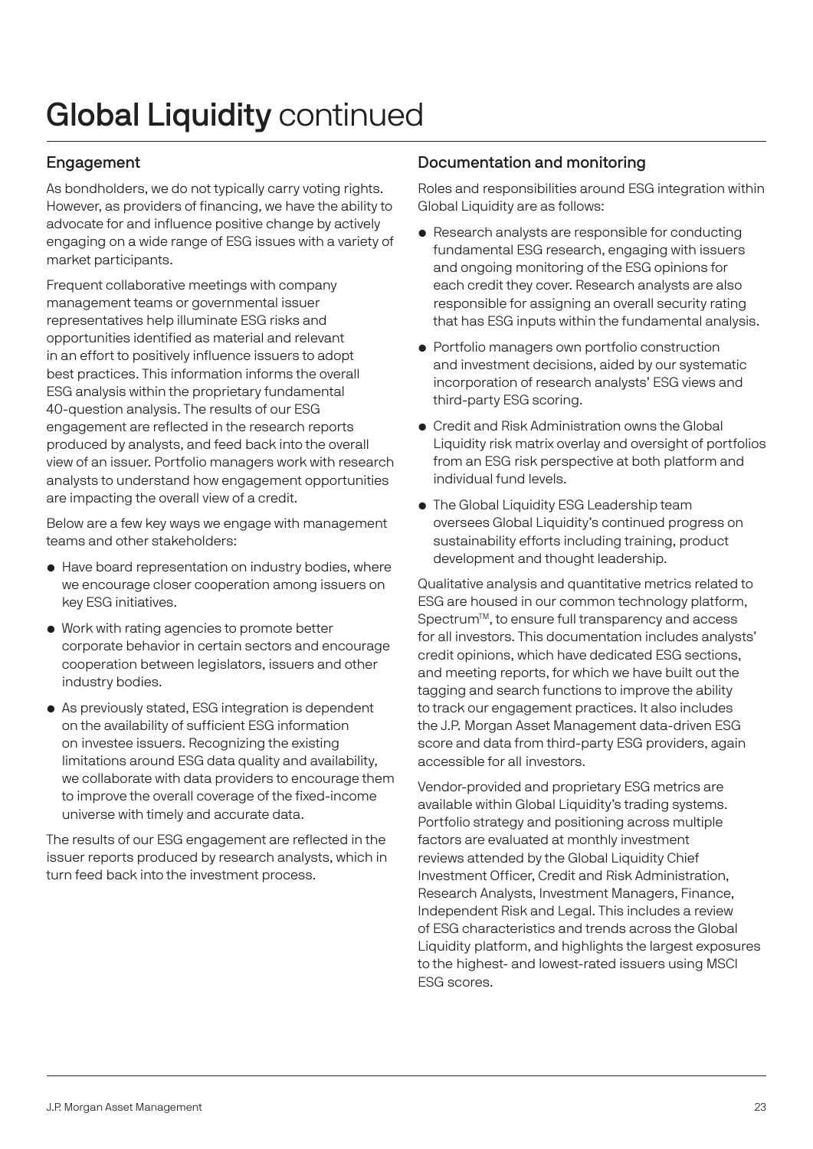# Global Liquidity continued

### Engagement

As bondholders, we do not typically carry voting rights. However, as providers of financing, we have the ability to advocate for and influence positive change by actively engaging on a wide range of ESG issues with a variety of market participants.

Frequent collaborative meetings with company management teams or governmental issuer representatives help illuminate ESG risks and opportunities identified as material and relevant in an effort to positively influence issuers to adopt best practices. This information informs the overall ESG analysis within the proprietary fundamental 40-question analysis. The results of our ESG engagement are reflected in the research reports produced by analysts, and feed back into the overall view of an issuer. Portfolio managers work with research analysts to understand how engagement opportunities are impacting the overall view of a credit.

Below are a few key ways we engage with management teams and other stakeholders:

- Have board representation on industry bodies, where we encourage closer cooperation among issuers on key ESG initiatives.
- Work with rating agencies to promote better corporate behavior in certain sectors and encourage cooperation between legislators, issuers and other industry bodies.
- As previously stated, ESG integration is dependent on the availability of sufficient ESG information on investee issuers. Recognizing the existing limitations around ESG data quality and availability, we collaborate with data providers to encourage them to improve the overall coverage of the fixed-income universe with timely and accurate data.

The results of our ESG engagement are reflected in the issuer reports produced by research analysts, which in turn feed back into the investment process.

#### Documentation and monitoring

Roles and responsibilities around ESG integration within Global Liquidity are as follows:

- Research analysts are responsible for conducting fundamental ESG research, engaging with issuers and ongoing monitoring of the ESG opinions for each credit they cover. Research analysts are also responsible for assigning an overall security rating that has ESG inputs within the fundamental analysis.
- Portfolio managers own portfolio construction and investment decisions, aided by our systematic incorporation of research analysts' ESG views and third-party ESG scoring.
- Credit and Risk Administration owns the Global Liquidity risk matrix overlay and oversight of portfolios from an ESG risk perspective at both platform and individual fund levels.
- The Global Liquidity ESG Leadership team oversees Global Liquidity's continued progress on sustainability efforts including training, product development and thought leadership.

Qualitative analysis and quantitative metrics related to ESG are housed in our common technology platform, Spectrum<sup>™</sup>, to ensure full transparency and access for all investors. This documentation includes analysts' credit opinions, which have dedicated ESG sections, and meeting reports, for which we have built out the tagging and search functions to improve the ability to track our engagement practices. It also includes the J.P. Morgan Asset Management data-driven ESG score and data from third-party ESG providers, again accessible for all investors.

Vendor-provided and proprietary ESG metrics are available within Global Liquidity's trading systems. Portfolio strategy and positioning across multiple factors are evaluated at monthly investment reviews attended by the Global Liquidity Chief Investment Officer, Credit and Risk Administration, Research Analysts, Investment Managers, Finance, Independent Risk and Legal. This includes a review of ESG characteristics and trends across the Global Liquidity platform, and highlights the largest exposures to the highest- and lowest-rated issuers using MSCI ESG scores.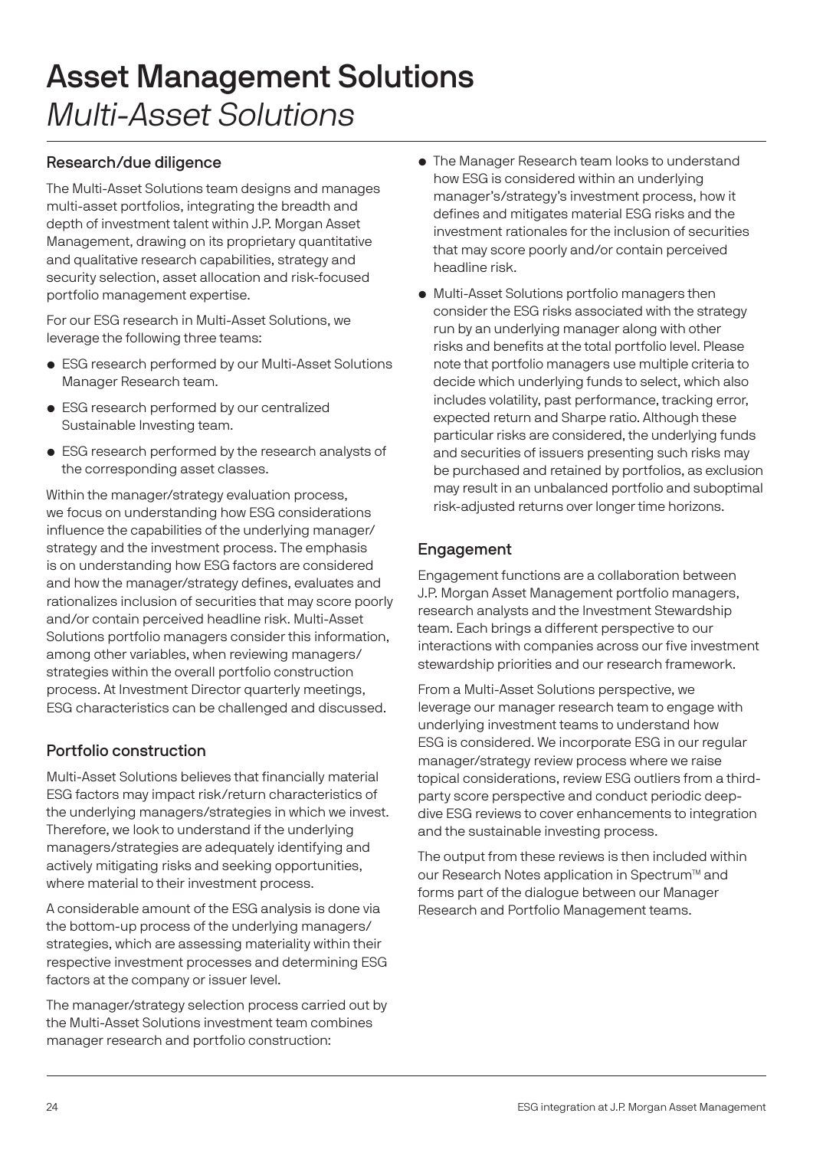# Asset Management Solutions Multi-Asset Solutions

#### Research/due diligence

The Multi-Asset Solutions team designs and manages multi-asset portfolios, integrating the breadth and depth of investment talent within J.P. Morgan Asset Management, drawing on its proprietary quantitative and qualitative research capabilities, strategy and security selection, asset allocation and risk-focused portfolio management expertise.

For our ESG research in Multi-Asset Solutions, we leverage the following three teams:

- ESG research performed by our Multi-Asset Solutions Manager Research team.
- ESG research performed by our centralized Sustainable Investing team.
- ESG research performed by the research analysts of the corresponding asset classes.

Within the manager/strategy evaluation process, we focus on understanding how ESG considerations influence the capabilities of the underlying manager/ strategy and the investment process. The emphasis is on understanding how ESG factors are considered and how the manager/strategy defines, evaluates and rationalizes inclusion of securities that may score poorly and/or contain perceived headline risk. Multi-Asset Solutions portfolio managers consider this information, among other variables, when reviewing managers/ strategies within the overall portfolio construction process. At Investment Director quarterly meetings, ESG characteristics can be challenged and discussed.

### Portfolio construction

Multi-Asset Solutions believes that financially material ESG factors may impact risk/return characteristics of the underlying managers/strategies in which we invest. Therefore, we look to understand if the underlying managers/strategies are adequately identifying and actively mitigating risks and seeking opportunities, where material to their investment process.

A considerable amount of the ESG analysis is done via the bottom-up process of the underlying managers/ strategies, which are assessing materiality within their respective investment processes and determining ESG factors at the company or issuer level.

The manager/strategy selection process carried out by the Multi-Asset Solutions investment team combines manager research and portfolio construction:

- The Manager Research team looks to understand how ESG is considered within an underlying manager's/strategy's investment process, how it defines and mitigates material ESG risks and the investment rationales for the inclusion of securities that may score poorly and/or contain perceived headline risk.
- Multi-Asset Solutions portfolio managers then consider the ESG risks associated with the strategy run by an underlying manager along with other risks and benefits at the total portfolio level. Please note that portfolio managers use multiple criteria to decide which underlying funds to select, which also includes volatility, past performance, tracking error, expected return and Sharpe ratio. Although these particular risks are considered, the underlying funds and securities of issuers presenting such risks may be purchased and retained by portfolios, as exclusion may result in an unbalanced portfolio and suboptimal risk-adjusted returns over longer time horizons.

### Engagement

Engagement functions are a collaboration between J.P. Morgan Asset Management portfolio managers, research analysts and the Investment Stewardship team. Each brings a different perspective to our interactions with companies across our five investment stewardship priorities and our research framework.

From a Multi-Asset Solutions perspective, we leverage our manager research team to engage with underlying investment teams to understand how ESG is considered. We incorporate ESG in our regular manager/strategy review process where we raise topical considerations, review ESG outliers from a thirdparty score perspective and conduct periodic deepdive ESG reviews to cover enhancements to integration and the sustainable investing process.

The output from these reviews is then included within our Research Notes application in Spectrum™ and forms part of the dialogue between our Manager Research and Portfolio Management teams.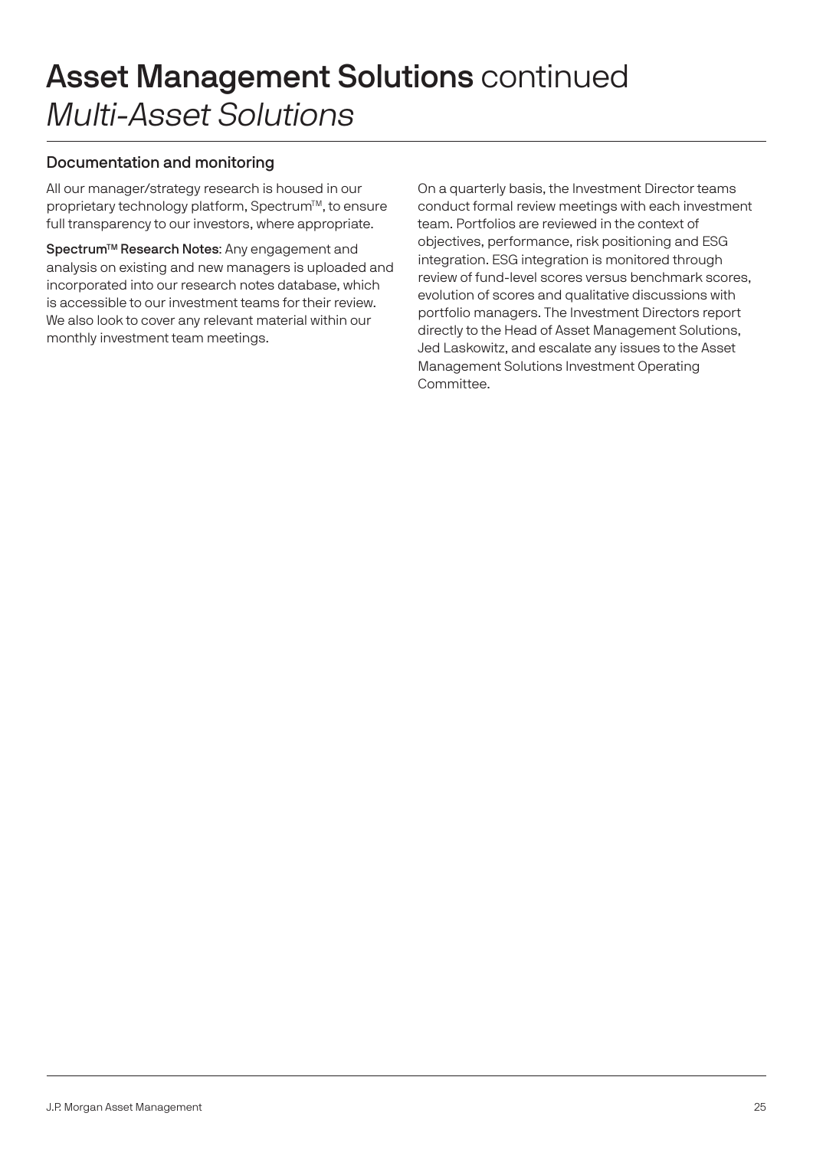### Asset Management Solutions continued Multi-Asset Solutions

#### Documentation and monitoring

All our manager/strategy research is housed in our proprietary technology platform, Spectrum™, to ensure full transparency to our investors, where appropriate.

Spectrum<sup>™</sup> Research Notes: Any engagement and analysis on existing and new managers is uploaded and incorporated into our research notes database, which is accessible to our investment teams for their review. We also look to cover any relevant material within our monthly investment team meetings.

On a quarterly basis, the Investment Director teams conduct formal review meetings with each investment team. Portfolios are reviewed in the context of objectives, performance, risk positioning and ESG integration. ESG integration is monitored through review of fund-level scores versus benchmark scores, evolution of scores and qualitative discussions with portfolio managers. The Investment Directors report directly to the Head of Asset Management Solutions, Jed Laskowitz, and escalate any issues to the Asset Management Solutions Investment Operating Committee.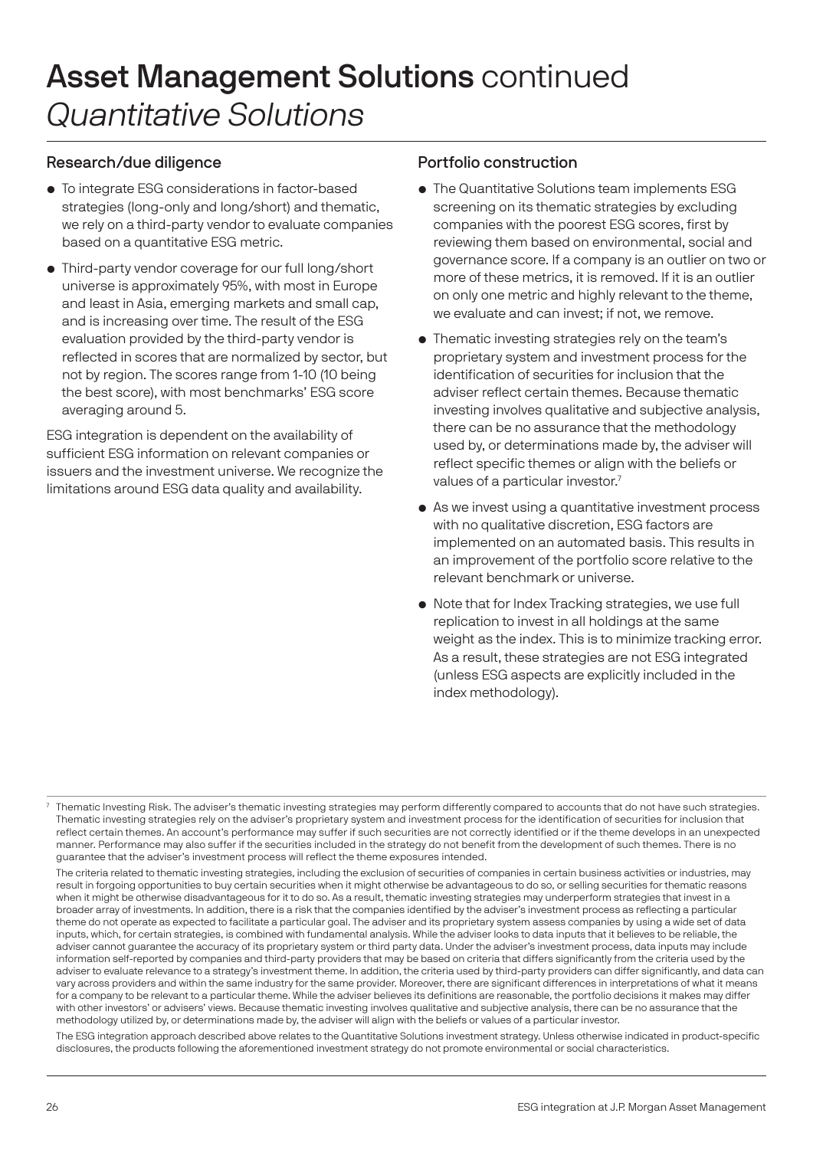### Asset Management Solutions continued Quantitative Solutions

#### Research/due diligence

- To integrate ESG considerations in factor-based strategies (long-only and long/short) and thematic, we rely on a third-party vendor to evaluate companies based on a quantitative ESG metric.
- Third-party vendor coverage for our full long/short universe is approximately 95%, with most in Europe and least in Asia, emerging markets and small cap, and is increasing over time. The result of the ESG evaluation provided by the third-party vendor is reflected in scores that are normalized by sector, but not by region. The scores range from 1-10 (10 being the best score), with most benchmarks' ESG score averaging around 5.

ESG integration is dependent on the availability of sufficient ESG information on relevant companies or issuers and the investment universe. We recognize the limitations around ESG data quality and availability.

#### Portfolio construction

- The Quantitative Solutions team implements ESG screening on its thematic strategies by excluding companies with the poorest ESG scores, first by reviewing them based on environmental, social and governance score. If a company is an outlier on two or more of these metrics, it is removed. If it is an outlier on only one metric and highly relevant to the theme, we evaluate and can invest; if not, we remove.
- Thematic investing strategies rely on the team's proprietary system and investment process for the identification of securities for inclusion that the adviser reflect certain themes. Because thematic investing involves qualitative and subjective analysis, there can be no assurance that the methodology used by, or determinations made by, the adviser will reflect specific themes or align with the beliefs or values of a particular investor.<sup>7</sup>
- As we invest using a quantitative investment process with no qualitative discretion, ESG factors are implemented on an automated basis. This results in an improvement of the portfolio score relative to the relevant benchmark or universe.
- Note that for Index Tracking strategies, we use full replication to invest in all holdings at the same weight as the index. This is to minimize tracking error. As a result, these strategies are not ESG integrated (unless ESG aspects are explicitly included in the index methodology).

 The ESG integration approach described above relates to the Quantitative Solutions investment strategy. Unless otherwise indicated in product-specific disclosures, the products following the aforementioned investment strategy do not promote environmental or social characteristics.

<sup>7</sup> Thematic Investing Risk. The adviser's thematic investing strategies may perform differently compared to accounts that do not have such strategies. Thematic investing strategies rely on the adviser's proprietary system and investment process for the identification of securities for inclusion that reflect certain themes. An account's performance may suffer if such securities are not correctly identified or if the theme develops in an unexpected manner. Performance may also suffer if the securities included in the strategy do not benefit from the development of such themes. There is no guarantee that the adviser's investment process will reflect the theme exposures intended.

The criteria related to thematic investing strategies, including the exclusion of securities of companies in certain business activities or industries, may result in forgoing opportunities to buy certain securities when it might otherwise be advantageous to do so, or selling securities for thematic reasons when it might be otherwise disadvantageous for it to do so. As a result, thematic investing strategies may underperform strategies that invest in a broader array of investments. In addition, there is a risk that the companies identified by the adviser's investment process as reflecting a particular theme do not operate as expected to facilitate a particular goal. The adviser and its proprietary system assess companies by using a wide set of data inputs, which, for certain strategies, is combined with fundamental analysis. While the adviser looks to data inputs that it believes to be reliable, the adviser cannot guarantee the accuracy of its proprietary system or third party data. Under the adviser's investment process, data inputs may include information self-reported by companies and third-party providers that may be based on criteria that differs significantly from the criteria used by the adviser to evaluate relevance to a strategy's investment theme. In addition, the criteria used by third-party providers can differ significantly, and data can vary across providers and within the same industry for the same provider. Moreover, there are significant differences in interpretations of what it means for a company to be relevant to a particular theme. While the adviser believes its definitions are reasonable, the portfolio decisions it makes may differ with other investors' or advisers' views. Because thematic investing involves qualitative and subjective analysis, there can be no assurance that the methodology utilized by, or determinations made by, the adviser will align with the beliefs or values of a particular investor.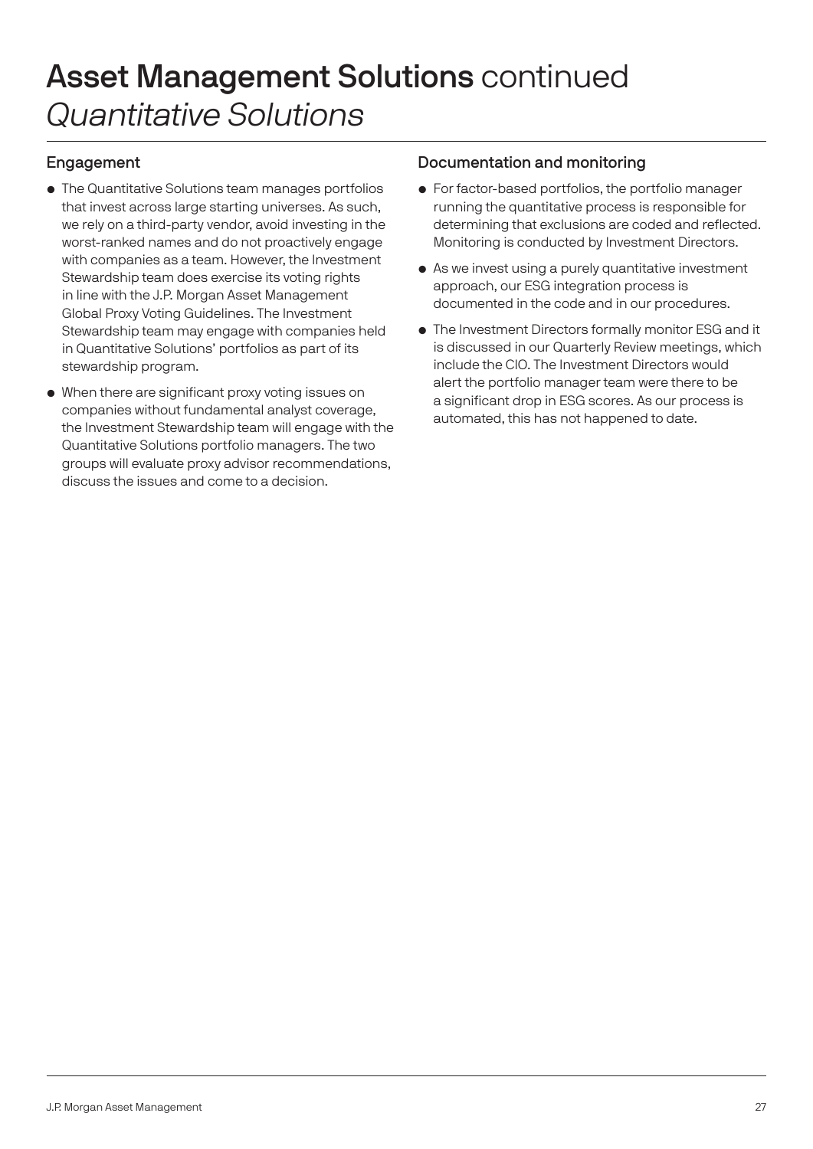## Asset Management Solutions continued Quantitative Solutions

#### Engagement

- The Quantitative Solutions team manages portfolios that invest across large starting universes. As such, we rely on a third-party vendor, avoid investing in the worst-ranked names and do not proactively engage with companies as a team. However, the Investment Stewardship team does exercise its voting rights in line with the J.P. Morgan Asset Management Global Proxy Voting Guidelines. The Investment Stewardship team may engage with companies held in Quantitative Solutions' portfolios as part of its stewardship program.
- When there are significant proxy voting issues on companies without fundamental analyst coverage, the Investment Stewardship team will engage with the Quantitative Solutions portfolio managers. The two groups will evaluate proxy advisor recommendations, discuss the issues and come to a decision.

#### Documentation and monitoring

- For factor-based portfolios, the portfolio manager running the quantitative process is responsible for determining that exclusions are coded and reflected. Monitoring is conducted by Investment Directors.
- As we invest using a purely quantitative investment approach, our ESG integration process is documented in the code and in our procedures.
- The Investment Directors formally monitor ESG and it is discussed in our Quarterly Review meetings, which include the CIO. The Investment Directors would alert the portfolio manager team were there to be a significant drop in ESG scores. As our process is automated, this has not happened to date.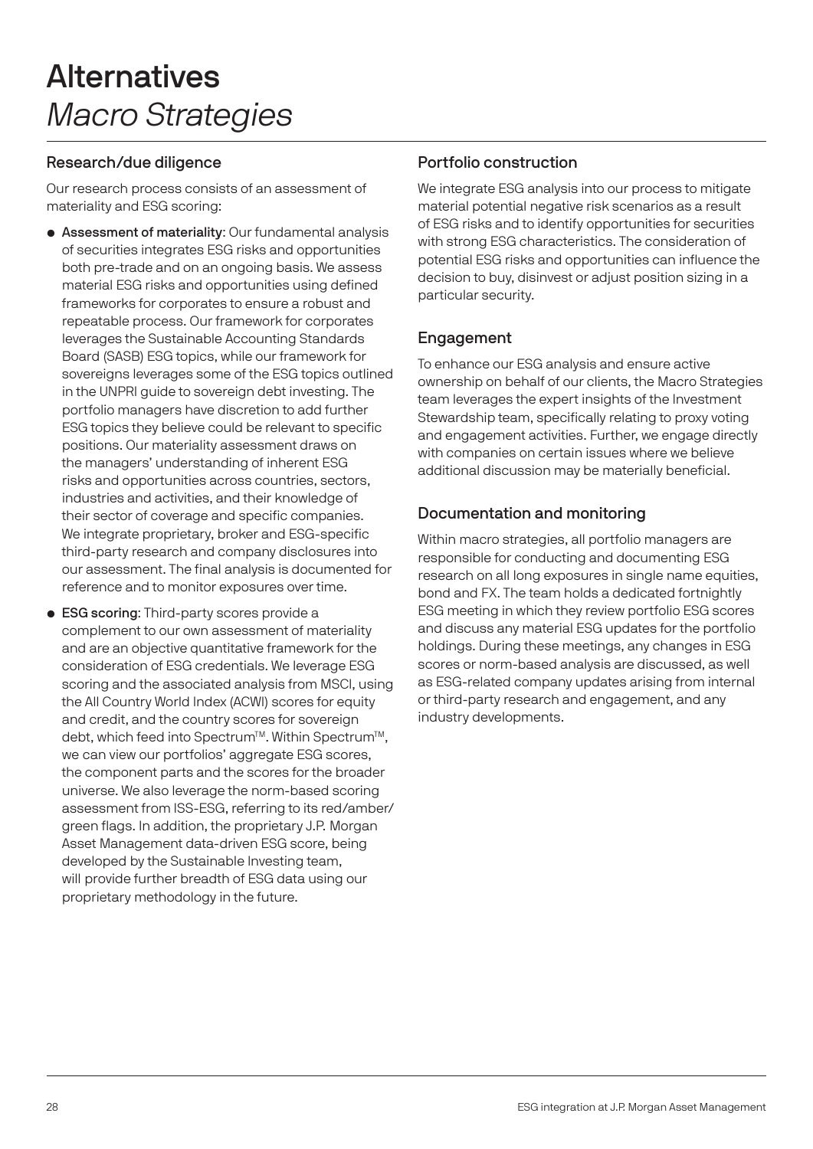### Alternatives Macro Strategies

#### Research/due diligence

Our research process consists of an assessment of materiality and ESG scoring:

- Assessment of materiality: Our fundamental analysis of securities integrates ESG risks and opportunities both pre-trade and on an ongoing basis. We assess material ESG risks and opportunities using defined frameworks for corporates to ensure a robust and repeatable process. Our framework for corporates leverages the Sustainable Accounting Standards Board (SASB) ESG topics, while our framework for sovereigns leverages some of the ESG topics outlined in the UNPRI guide to sovereign debt investing. The portfolio managers have discretion to add further ESG topics they believe could be relevant to specific positions. Our materiality assessment draws on the managers' understanding of inherent ESG risks and opportunities across countries, sectors, industries and activities, and their knowledge of their sector of coverage and specific companies. We integrate proprietary, broker and ESG-specific third-party research and company disclosures into our assessment. The final analysis is documented for reference and to monitor exposures over time.
- ESG scoring: Third-party scores provide a complement to our own assessment of materiality and are an objective quantitative framework for the consideration of ESG credentials. We leverage ESG scoring and the associated analysis from MSCI, using the All Country World Index (ACWI) scores for equity and credit, and the country scores for sovereign debt, which feed into Spectrum™. Within Spectrum™, we can view our portfolios' aggregate ESG scores, the component parts and the scores for the broader universe. We also leverage the norm-based scoring assessment from ISS-ESG, referring to its red/amber/ green flags. In addition, the proprietary J.P. Morgan Asset Management data-driven ESG score, being developed by the Sustainable Investing team, will provide further breadth of ESG data using our proprietary methodology in the future.

#### Portfolio construction

We integrate ESG analysis into our process to mitigate material potential negative risk scenarios as a result of ESG risks and to identify opportunities for securities with strong ESG characteristics. The consideration of potential ESG risks and opportunities can influence the decision to buy, disinvest or adjust position sizing in a particular security.

### Engagement

To enhance our ESG analysis and ensure active ownership on behalf of our clients, the Macro Strategies team leverages the expert insights of the Investment Stewardship team, specifically relating to proxy voting and engagement activities. Further, we engage directly with companies on certain issues where we believe additional discussion may be materially beneficial.

### Documentation and monitoring

Within macro strategies, all portfolio managers are responsible for conducting and documenting ESG research on all long exposures in single name equities, bond and FX. The team holds a dedicated fortnightly ESG meeting in which they review portfolio ESG scores and discuss any material ESG updates for the portfolio holdings. During these meetings, any changes in ESG scores or norm-based analysis are discussed, as well as ESG-related company updates arising from internal or third-party research and engagement, and any industry developments.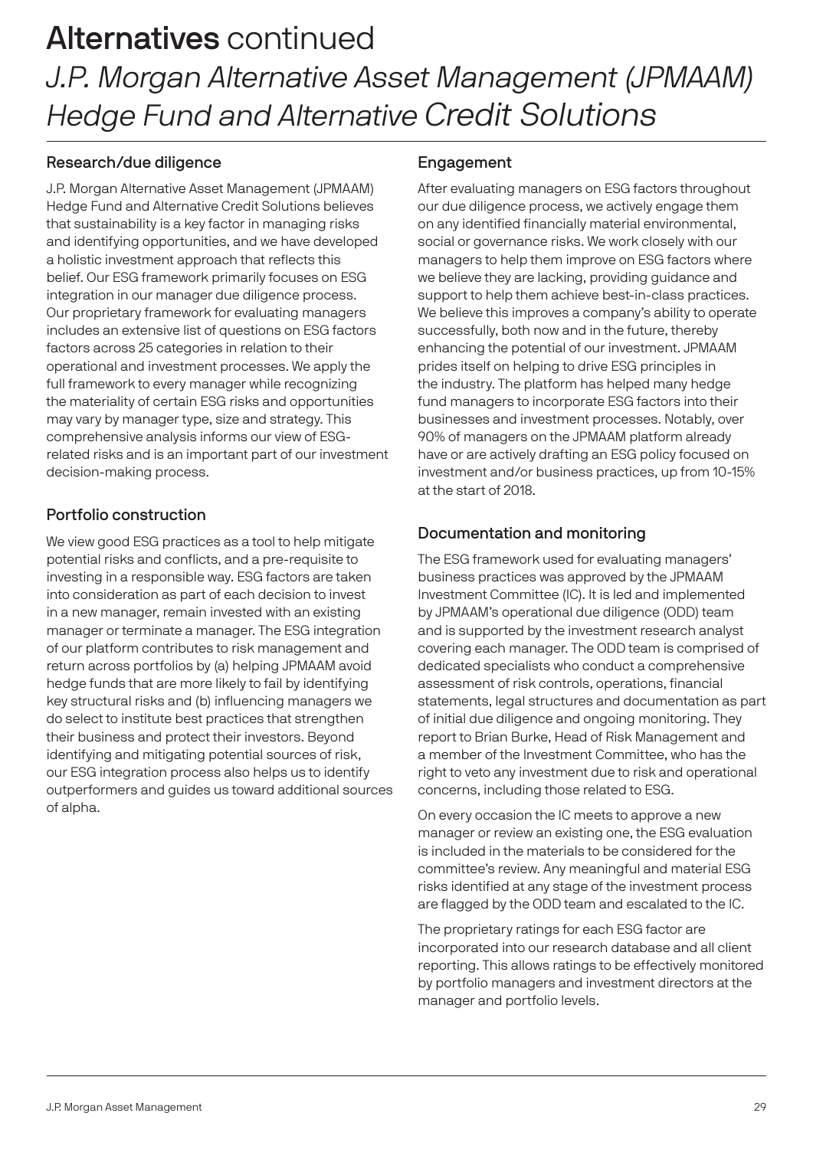### Alternatives continued J.P. Morgan Alternative Asset Management (JPMAAM) Hedge Fund and Alternative Credit Solutions

#### Research/due diligence

J.P. Morgan Alternative Asset Management (JPMAAM) Hedge Fund and Alternative Credit Solutions believes that sustainability is a key factor in managing risks and identifying opportunities, and we have developed a holistic investment approach that reflects this belief. Our ESG framework primarily focuses on ESG integration in our manager due diligence process. Our proprietary framework for evaluating managers includes an extensive list of questions on ESG factors factors across 25 categories in relation to their operational and investment processes. We apply the full framework to every manager while recognizing the materiality of certain ESG risks and opportunities may vary by manager type, size and strategy. This comprehensive analysis informs our view of ESGrelated risks and is an important part of our investment decision-making process.

#### Portfolio construction

We view good ESG practices as a tool to help mitigate potential risks and conflicts, and a pre-requisite to investing in a responsible way. ESG factors are taken into consideration as part of each decision to invest in a new manager, remain invested with an existing manager or terminate a manager. The ESG integration of our platform contributes to risk management and return across portfolios by (a) helping JPMAAM avoid hedge funds that are more likely to fail by identifying key structural risks and (b) influencing managers we do select to institute best practices that strengthen their business and protect their investors. Beyond identifying and mitigating potential sources of risk, our ESG integration process also helps us to identify outperformers and guides us toward additional sources of alpha.

#### Engagement

After evaluating managers on ESG factors throughout our due diligence process, we actively engage them on any identified financially material environmental, social or governance risks. We work closely with our managers to help them improve on ESG factors where we believe they are lacking, providing guidance and support to help them achieve best-in-class practices. We believe this improves a company's ability to operate successfully, both now and in the future, thereby enhancing the potential of our investment. JPMAAM prides itself on helping to drive ESG principles in the industry. The platform has helped many hedge fund managers to incorporate ESG factors into their businesses and investment processes. Notably, over 90% of managers on the JPMAAM platform already have or are actively drafting an ESG policy focused on investment and/or business practices, up from 10-15% at the start of 2018.

#### Documentation and monitoring

The ESG framework used for evaluating managers' business practices was approved by the JPMAAM Investment Committee (IC). It is led and implemented by JPMAAM's operational due diligence (ODD) team and is supported by the investment research analyst covering each manager. The ODD team is comprised of dedicated specialists who conduct a comprehensive assessment of risk controls, operations, financial statements, legal structures and documentation as part of initial due diligence and ongoing monitoring. They report to Brian Burke, Head of Risk Management and a member of the Investment Committee, who has the right to veto any investment due to risk and operational concerns, including those related to ESG.

On every occasion the IC meets to approve a new manager or review an existing one, the ESG evaluation is included in the materials to be considered for the committee's review. Any meaningful and material ESG risks identified at any stage of the investment process are flagged by the ODD team and escalated to the IC.

The proprietary ratings for each ESG factor are incorporated into our research database and all client reporting. This allows ratings to be effectively monitored by portfolio managers and investment directors at the manager and portfolio levels.